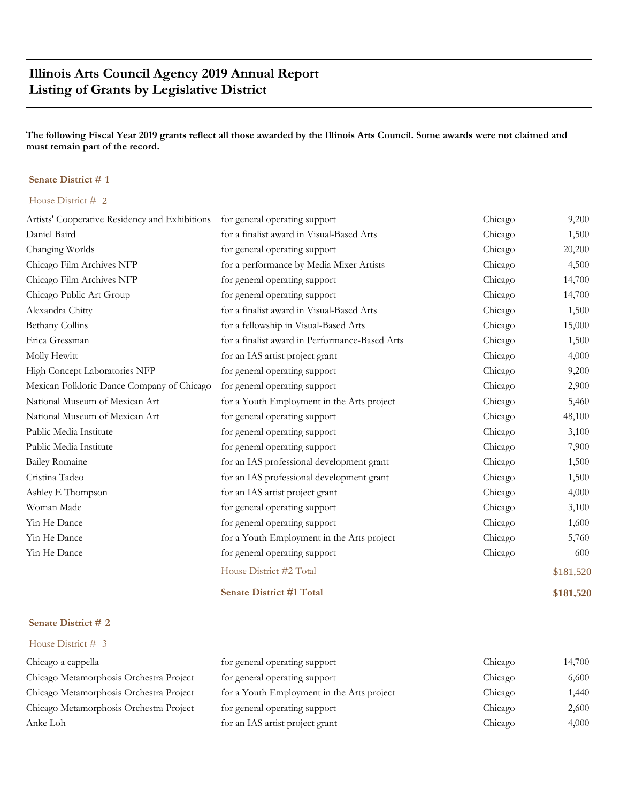# **Illinois Arts Council Agency 2019 Annual Report Listing of Grants by Legislative District**

**The following Fiscal Year 2019 grants reflect all those awarded by the Illinois Arts Council. Some awards were not claimed and must remain part of the record.**

#### **Senate District # 1**

#### House District # 2

|                                                | House District #2 Total                        |         | \$181,520 |
|------------------------------------------------|------------------------------------------------|---------|-----------|
| Yin He Dance                                   | for general operating support                  | Chicago | 600       |
| Yin He Dance                                   | for a Youth Employment in the Arts project     | Chicago | 5,760     |
| Yin He Dance                                   | for general operating support                  | Chicago | 1,600     |
| Woman Made                                     | for general operating support                  | Chicago | 3,100     |
| Ashley E Thompson                              | for an IAS artist project grant                | Chicago | 4,000     |
| Cristina Tadeo                                 | for an IAS professional development grant      | Chicago | 1,500     |
| <b>Bailey Romaine</b>                          | for an IAS professional development grant      | Chicago | 1,500     |
| Public Media Institute                         | for general operating support                  | Chicago | 7,900     |
| Public Media Institute                         | for general operating support                  | Chicago | 3,100     |
| National Museum of Mexican Art                 | for general operating support                  | Chicago | 48,100    |
| National Museum of Mexican Art                 | for a Youth Employment in the Arts project     | Chicago | 5,460     |
| Mexican Folkloric Dance Company of Chicago     | for general operating support                  | Chicago | 2,900     |
| High Concept Laboratories NFP                  | for general operating support                  | Chicago | 9,200     |
| Molly Hewitt                                   | for an IAS artist project grant                | Chicago | 4,000     |
| Erica Gressman                                 | for a finalist award in Performance-Based Arts | Chicago | 1,500     |
| Bethany Collins                                | for a fellowship in Visual-Based Arts          | Chicago | 15,000    |
| Alexandra Chitty                               | for a finalist award in Visual-Based Arts      | Chicago | 1,500     |
| Chicago Public Art Group                       | for general operating support                  | Chicago | 14,700    |
| Chicago Film Archives NFP                      | for general operating support                  | Chicago | 14,700    |
| Chicago Film Archives NFP                      | for a performance by Media Mixer Artists       | Chicago | 4,500     |
| Changing Worlds                                | for general operating support                  | Chicago | 20,200    |
| Daniel Baird                                   | for a finalist award in Visual-Based Arts      | Chicago | 1,500     |
| Artists' Cooperative Residency and Exhibitions | for general operating support                  | Chicago | 9,200     |

**Senate District #1 Total \$181,520**

#### **Senate District # 2**

| Chicago a cappella                      | for general operating support              | Chicago | 14,700 |
|-----------------------------------------|--------------------------------------------|---------|--------|
| Chicago Metamorphosis Orchestra Project | for general operating support              | Chicago | 6,600  |
| Chicago Metamorphosis Orchestra Project | for a Youth Employment in the Arts project | Chicago | 1,440  |
| Chicago Metamorphosis Orchestra Project | for general operating support              | Chicago | 2,600  |
| Anke Loh                                | for an IAS artist project grant            | Chicago | 4,000  |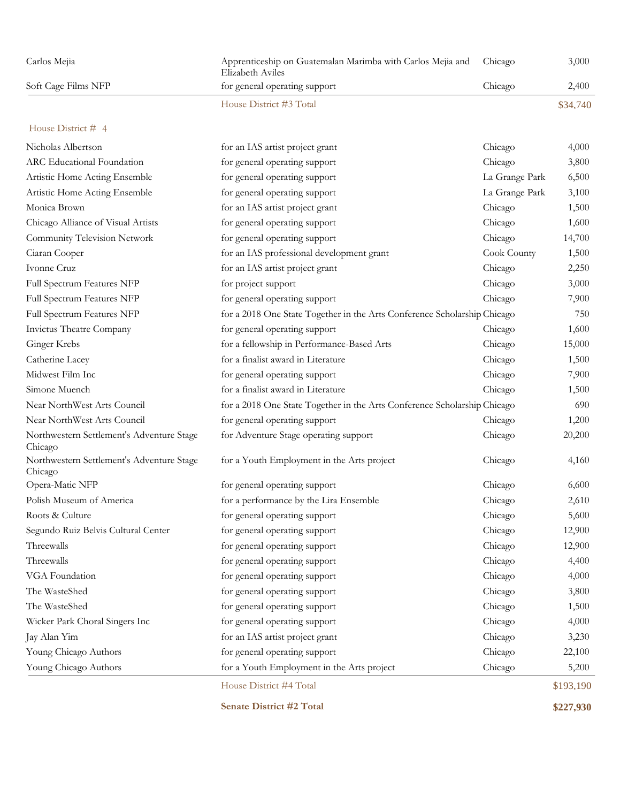| Carlos Mejia                                         | Apprenticeship on Guatemalan Marimba with Carlos Mejia and<br>Elizabeth Aviles | Chicago        | 3,000     |
|------------------------------------------------------|--------------------------------------------------------------------------------|----------------|-----------|
| Soft Cage Films NFP                                  | for general operating support                                                  | Chicago        | 2,400     |
|                                                      | House District #3 Total                                                        |                | \$34,740  |
| House District # 4                                   |                                                                                |                |           |
| Nicholas Albertson                                   | for an IAS artist project grant                                                | Chicago        | 4,000     |
| ARC Educational Foundation                           | for general operating support                                                  | Chicago        | 3,800     |
| Artistic Home Acting Ensemble                        | for general operating support                                                  | La Grange Park | 6,500     |
| Artistic Home Acting Ensemble                        | for general operating support                                                  | La Grange Park | 3,100     |
| Monica Brown                                         | for an IAS artist project grant                                                | Chicago        | 1,500     |
| Chicago Alliance of Visual Artists                   | for general operating support                                                  | Chicago        | 1,600     |
| Community Television Network                         | for general operating support                                                  | Chicago        | 14,700    |
| Ciaran Cooper                                        | for an IAS professional development grant                                      | Cook County    | 1,500     |
| Ivonne Cruz                                          | for an IAS artist project grant                                                | Chicago        | 2,250     |
| Full Spectrum Features NFP                           | for project support                                                            | Chicago        | 3,000     |
| Full Spectrum Features NFP                           | for general operating support                                                  | Chicago        | 7,900     |
| Full Spectrum Features NFP                           | for a 2018 One State Together in the Arts Conference Scholarship Chicago       |                | 750       |
| Invictus Theatre Company                             | for general operating support                                                  | Chicago        | 1,600     |
| Ginger Krebs                                         | for a fellowship in Performance-Based Arts                                     | Chicago        | 15,000    |
| Catherine Lacey                                      | for a finalist award in Literature                                             | Chicago        | 1,500     |
| Midwest Film Inc                                     | for general operating support                                                  | Chicago        | 7,900     |
| Simone Muench                                        | for a finalist award in Literature                                             | Chicago        | 1,500     |
| Near NorthWest Arts Council                          | for a 2018 One State Together in the Arts Conference Scholarship Chicago       |                | 690       |
| Near NorthWest Arts Council                          | for general operating support                                                  | Chicago        | 1,200     |
| Northwestern Settlement's Adventure Stage<br>Chicago | for Adventure Stage operating support                                          | Chicago        | 20,200    |
| Northwestern Settlement's Adventure Stage<br>Chicago | for a Youth Employment in the Arts project                                     | Chicago        | 4,160     |
| Opera-Matic NFP                                      | for general operating support                                                  | Chicago        | 6,600     |
| Polish Museum of America                             | for a performance by the Lira Ensemble                                         | Chicago        | 2,610     |
| Roots & Culture                                      | for general operating support                                                  | Chicago        | 5,600     |
| Segundo Ruiz Belvis Cultural Center                  | for general operating support                                                  | Chicago        | 12,900    |
| Threewalls                                           | for general operating support                                                  | Chicago        | 12,900    |
| Threewalls                                           | for general operating support                                                  | Chicago        | 4,400     |
| VGA Foundation                                       | for general operating support                                                  | Chicago        | 4,000     |
| The WasteShed                                        | for general operating support                                                  | Chicago        | 3,800     |
| The WasteShed                                        | for general operating support                                                  | Chicago        | 1,500     |
| Wicker Park Choral Singers Inc                       | for general operating support                                                  | Chicago        | 4,000     |
| Jay Alan Yim                                         | for an IAS artist project grant                                                | Chicago        | 3,230     |
| Young Chicago Authors                                | for general operating support                                                  | Chicago        | 22,100    |
| Young Chicago Authors                                | for a Youth Employment in the Arts project                                     | Chicago        | 5,200     |
|                                                      | House District #4 Total                                                        |                | \$193,190 |

**Senate District #2 Total \$227,930**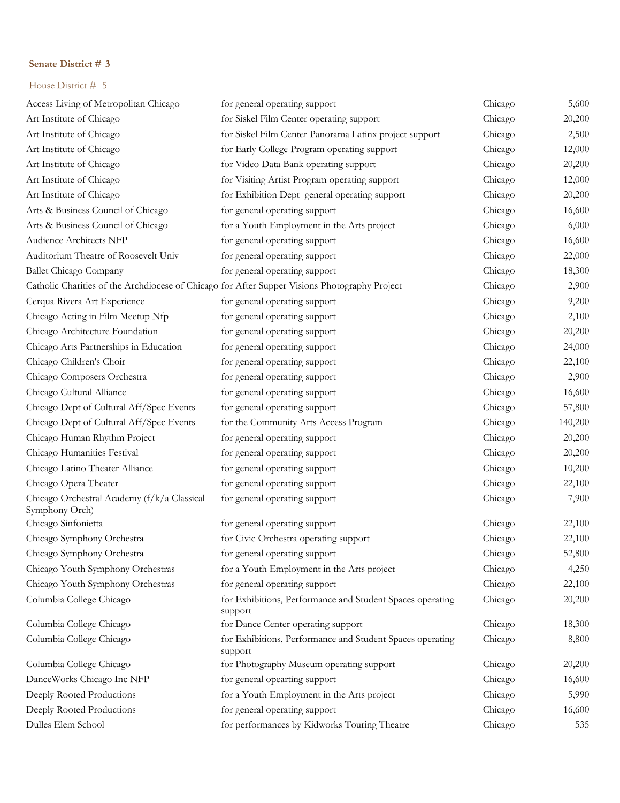| Access Living of Metropolitan Chicago                         | for general operating support                                                                 | Chicago | 5,600   |
|---------------------------------------------------------------|-----------------------------------------------------------------------------------------------|---------|---------|
| Art Institute of Chicago                                      | for Siskel Film Center operating support                                                      | Chicago | 20,200  |
| Art Institute of Chicago                                      | for Siskel Film Center Panorama Latinx project support                                        | Chicago | 2,500   |
| Art Institute of Chicago                                      | for Early College Program operating support                                                   | Chicago | 12,000  |
| Art Institute of Chicago                                      | for Video Data Bank operating support                                                         | Chicago | 20,200  |
| Art Institute of Chicago                                      | for Visiting Artist Program operating support                                                 | Chicago | 12,000  |
| Art Institute of Chicago                                      | for Exhibition Dept general operating support                                                 | Chicago | 20,200  |
| Arts & Business Council of Chicago                            | for general operating support                                                                 | Chicago | 16,600  |
| Arts & Business Council of Chicago                            | for a Youth Employment in the Arts project                                                    | Chicago | 6,000   |
| Audience Architects NFP                                       | for general operating support                                                                 | Chicago | 16,600  |
| Auditorium Theatre of Roosevelt Univ                          | for general operating support                                                                 | Chicago | 22,000  |
| <b>Ballet Chicago Company</b>                                 | for general operating support                                                                 | Chicago | 18,300  |
|                                                               | Catholic Charities of the Archdiocese of Chicago for After Supper Visions Photography Project | Chicago | 2,900   |
| Cerqua Rivera Art Experience                                  | for general operating support                                                                 | Chicago | 9,200   |
| Chicago Acting in Film Meetup Nfp                             | for general operating support                                                                 | Chicago | 2,100   |
| Chicago Architecture Foundation                               | for general operating support                                                                 | Chicago | 20,200  |
| Chicago Arts Partnerships in Education                        | for general operating support                                                                 | Chicago | 24,000  |
| Chicago Children's Choir                                      | for general operating support                                                                 | Chicago | 22,100  |
| Chicago Composers Orchestra                                   | for general operating support                                                                 | Chicago | 2,900   |
| Chicago Cultural Alliance                                     | for general operating support                                                                 | Chicago | 16,600  |
| Chicago Dept of Cultural Aff/Spec Events                      | for general operating support                                                                 | Chicago | 57,800  |
| Chicago Dept of Cultural Aff/Spec Events                      | for the Community Arts Access Program                                                         | Chicago | 140,200 |
| Chicago Human Rhythm Project                                  | for general operating support                                                                 | Chicago | 20,200  |
| Chicago Humanities Festival                                   | for general operating support                                                                 | Chicago | 20,200  |
| Chicago Latino Theater Alliance                               | for general operating support                                                                 | Chicago | 10,200  |
| Chicago Opera Theater                                         | for general operating support                                                                 | Chicago | 22,100  |
| Chicago Orchestral Academy (f/k/a Classical<br>Symphony Orch) | for general operating support                                                                 | Chicago | 7,900   |
| Chicago Sinfonietta                                           | for general operating support                                                                 | Chicago | 22,100  |
| Chicago Symphony Orchestra                                    | for Civic Orchestra operating support                                                         | Chicago | 22,100  |
| Chicago Symphony Orchestra                                    | for general operating support                                                                 | Chicago | 52,800  |
| Chicago Youth Symphony Orchestras                             | for a Youth Employment in the Arts project                                                    | Chicago | 4,250   |
| Chicago Youth Symphony Orchestras                             | for general operating support                                                                 | Chicago | 22,100  |
| Columbia College Chicago                                      | for Exhibitions, Performance and Student Spaces operating<br>support                          | Chicago | 20,200  |
| Columbia College Chicago                                      | for Dance Center operating support                                                            | Chicago | 18,300  |
| Columbia College Chicago                                      | for Exhibitions, Performance and Student Spaces operating<br>support                          | Chicago | 8,800   |
| Columbia College Chicago                                      | for Photography Museum operating support                                                      | Chicago | 20,200  |
| DanceWorks Chicago Inc NFP                                    | for general opearting support                                                                 | Chicago | 16,600  |
| Deeply Rooted Productions                                     | for a Youth Employment in the Arts project                                                    | Chicago | 5,990   |
| Deeply Rooted Productions                                     | for general operating support                                                                 | Chicago | 16,600  |
| Dulles Elem School                                            | for performances by Kidworks Touring Theatre                                                  | Chicago | 535     |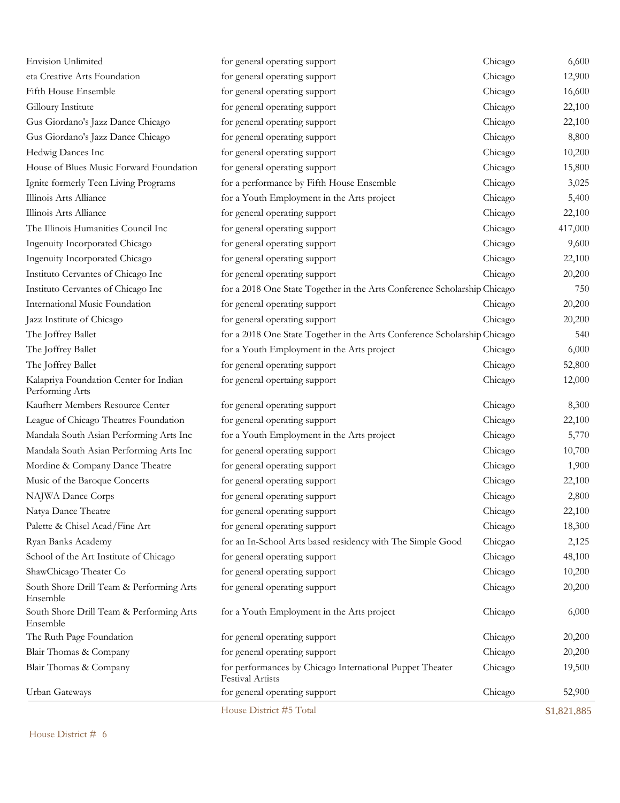| <b>Envision Unlimited</b>                                 | for general operating support                                                       | Chicago | 6,600       |
|-----------------------------------------------------------|-------------------------------------------------------------------------------------|---------|-------------|
| eta Creative Arts Foundation                              | for general operating support                                                       | Chicago | 12,900      |
| Fifth House Ensemble                                      | for general operating support                                                       | Chicago | 16,600      |
| Gilloury Institute                                        | for general operating support                                                       | Chicago | 22,100      |
| Gus Giordano's Jazz Dance Chicago                         | for general operating support                                                       | Chicago | 22,100      |
| Gus Giordano's Jazz Dance Chicago                         | for general operating support                                                       | Chicago | 8,800       |
| Hedwig Dances Inc                                         | for general operating support                                                       | Chicago | 10,200      |
| House of Blues Music Forward Foundation                   | for general operating support                                                       | Chicago | 15,800      |
| Ignite formerly Teen Living Programs                      | for a performance by Fifth House Ensemble                                           | Chicago | 3,025       |
| Illinois Arts Alliance                                    | for a Youth Employment in the Arts project                                          | Chicago | 5,400       |
| Illinois Arts Alliance                                    | for general operating support                                                       | Chicago | 22,100      |
| The Illinois Humanities Council Inc                       | for general operating support                                                       | Chicago | 417,000     |
| Ingenuity Incorporated Chicago                            | for general operating support                                                       | Chicago | 9,600       |
| Ingenuity Incorporated Chicago                            | for general operating support                                                       | Chicago | 22,100      |
| Instituto Cervantes of Chicago Inc                        | for general operating support                                                       | Chicago | 20,200      |
| Instituto Cervantes of Chicago Inc                        | for a 2018 One State Together in the Arts Conference Scholarship Chicago            |         | 750         |
| International Music Foundation                            | for general operating support                                                       | Chicago | 20,200      |
| Jazz Institute of Chicago                                 | for general operating support                                                       | Chicago | 20,200      |
| The Joffrey Ballet                                        | for a 2018 One State Together in the Arts Conference Scholarship Chicago            |         | 540         |
| The Joffrey Ballet                                        | for a Youth Employment in the Arts project                                          | Chicago | 6,000       |
| The Joffrey Ballet                                        | for general operating support                                                       | Chicago | 52,800      |
| Kalapriya Foundation Center for Indian<br>Performing Arts | for general opertaing support                                                       | Chicago | 12,000      |
| Kaufherr Members Resource Center                          | for general operating support                                                       | Chicago | 8,300       |
| League of Chicago Theatres Foundation                     | for general operating support                                                       | Chicago | 22,100      |
| Mandala South Asian Performing Arts Inc                   | for a Youth Employment in the Arts project                                          | Chicago | 5,770       |
| Mandala South Asian Performing Arts Inc                   | for general operating support                                                       | Chicago | 10,700      |
| Mordine & Company Dance Theatre                           | for general operating support                                                       | Chicago | 1,900       |
| Music of the Baroque Concerts                             | for general operating support                                                       | Chicago | 22,100      |
| NAJWA Dance Corps                                         | for general operating support                                                       | Chicago | 2,800       |
| Natya Dance Theatre                                       | for general operating support                                                       | Chicago | 22,100      |
| Palette & Chisel Acad/Fine Art                            | for general operating support                                                       | Chicago | 18,300      |
| Ryan Banks Academy                                        | for an In-School Arts based residency with The Simple Good                          | Chicgao | 2,125       |
| School of the Art Institute of Chicago                    | for general operating support                                                       | Chicago | 48,100      |
| ShawChicago Theater Co                                    | for general operating support                                                       | Chicago | 10,200      |
| South Shore Drill Team & Performing Arts<br>Ensemble      | for general operating support                                                       | Chicago | 20,200      |
| South Shore Drill Team & Performing Arts<br>Ensemble      | for a Youth Employment in the Arts project                                          | Chicago | 6,000       |
| The Ruth Page Foundation                                  | for general operating support                                                       | Chicago | 20,200      |
| Blair Thomas & Company                                    | for general operating support                                                       | Chicago | 20,200      |
| Blair Thomas & Company                                    | for performances by Chicago International Puppet Theater<br><b>Festival Artists</b> | Chicago | 19,500      |
| Urban Gateways                                            | for general operating support                                                       | Chicago | 52,900      |
|                                                           | House District #5 Total                                                             |         | \$1,821,885 |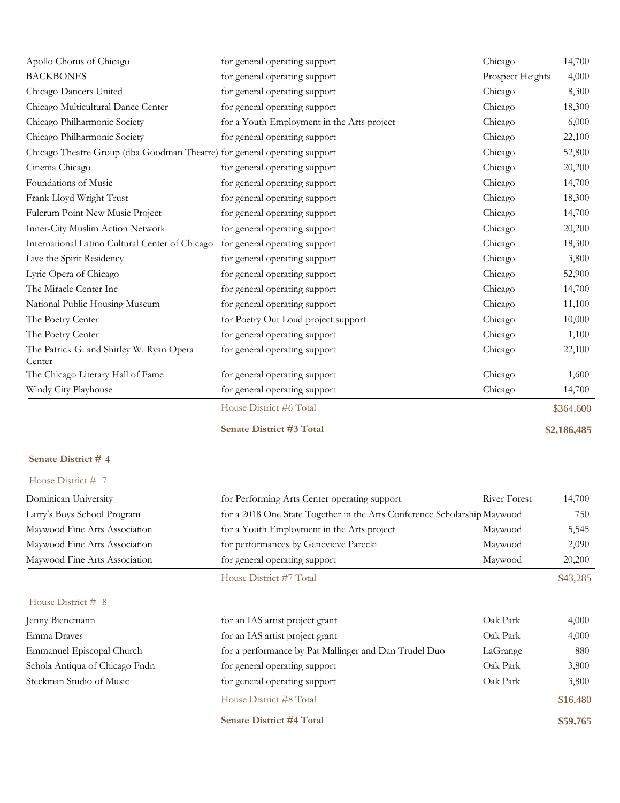| Apollo Chorus of Chicago                                                  | for general operating support              | Chicago          | 14,700    |
|---------------------------------------------------------------------------|--------------------------------------------|------------------|-----------|
| <b>BACKBONES</b>                                                          | for general operating support              | Prospect Heights | 4,000     |
| Chicago Dancers United                                                    | for general operating support              | Chicago          | 8,300     |
| Chicago Multicultural Dance Center                                        | for general operating support              | Chicago          | 18,300    |
| Chicago Philharmonic Society                                              | for a Youth Employment in the Arts project | Chicago          | 6,000     |
| Chicago Philharmonic Society                                              | for general operating support              | Chicago          | 22,100    |
| Chicago Theatre Group (dba Goodman Theatre) for general operating support |                                            | Chicago          | 52,800    |
| Cinema Chicago                                                            | for general operating support              | Chicago          | 20,200    |
| Foundations of Music                                                      | for general operating support              | Chicago          | 14,700    |
| Frank Lloyd Wright Trust                                                  | for general operating support              | Chicago          | 18,300    |
| Fulcrum Point New Music Project                                           | for general operating support              | Chicago          | 14,700    |
| Inner-City Muslim Action Network                                          | for general operating support              | Chicago          | 20,200    |
| International Latino Cultural Center of Chicago                           | for general operating support              | Chicago          | 18,300    |
| Live the Spirit Residency                                                 | for general operating support              | Chicago          | 3,800     |
| Lyric Opera of Chicago                                                    | for general operating support              | Chicago          | 52,900    |
| The Miracle Center Inc                                                    | for general operating support              | Chicago          | 14,700    |
| National Public Housing Museum                                            | for general operating support              | Chicago          | 11,100    |
| The Poetry Center                                                         | for Poetry Out Loud project support        | Chicago          | 10,000    |
| The Poetry Center                                                         | for general operating support              | Chicago          | 1,100     |
| The Patrick G. and Shirley W. Ryan Opera<br>Center                        | for general operating support              | Chicago          | 22,100    |
| The Chicago Literary Hall of Fame                                         | for general operating support              | Chicago          | 1,600     |
| Windy City Playhouse                                                      | for general operating support              | Chicago          | 14,700    |
|                                                                           | House District #6 Total                    |                  | \$364,600 |

**Senate District #3 Total \$2,186,485**

#### **Senate District # 4**

| Dominican University           | for Performing Arts Center operating support                             | River Forest | 14,700   |
|--------------------------------|--------------------------------------------------------------------------|--------------|----------|
| Larry's Boys School Program    | for a 2018 One State Together in the Arts Conference Scholarship Maywood |              | 750      |
| Maywood Fine Arts Association  | for a Youth Employment in the Arts project                               | Maywood      | 5,545    |
| Maywood Fine Arts Association  | for performances by Genevieve Parecki                                    | Maywood      | 2,090    |
| Maywood Fine Arts Association  | for general operating support                                            | Maywood      | 20,200   |
|                                | House District #7 Total                                                  |              | \$43,285 |
| House District $#8$            |                                                                          |              |          |
| Jenny Bienemann                | for an IAS artist project grant                                          | Oak Park     | 4,000    |
| Emma Draves                    | for an IAS artist project grant                                          | Oak Park     | 4,000    |
| Emmanuel Episcopal Church      | for a performance by Pat Mallinger and Dan Trudel Duo                    | LaGrange     | 880      |
| Schola Antiqua of Chicago Fndn | for general operating support                                            | Oak Park     | 3,800    |
| Steckman Studio of Music       | for general operating support                                            | Oak Park     | 3,800    |
|                                | House District #8 Total                                                  |              | \$16,480 |
|                                | <b>Senate District #4 Total</b>                                          |              | \$59,765 |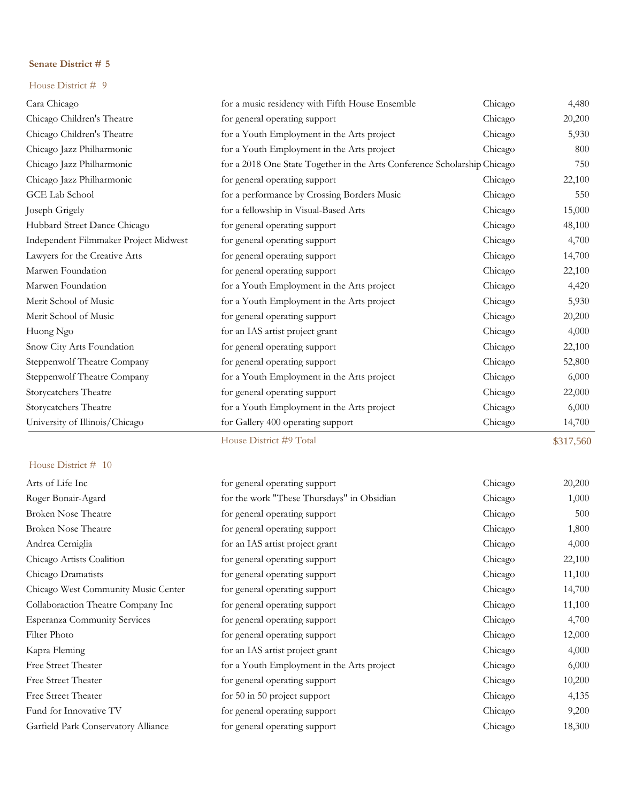#### House District # 9

| Cara Chicago                          | for a music residency with Fifth House Ensemble                          | Chicago | 4,480     |
|---------------------------------------|--------------------------------------------------------------------------|---------|-----------|
| Chicago Children's Theatre            | for general operating support                                            | Chicago | 20,200    |
| Chicago Children's Theatre            | for a Youth Employment in the Arts project                               | Chicago | 5,930     |
| Chicago Jazz Philharmonic             | for a Youth Employment in the Arts project                               | Chicago | 800       |
| Chicago Jazz Philharmonic             | for a 2018 One State Together in the Arts Conference Scholarship Chicago |         | 750       |
| Chicago Jazz Philharmonic             | for general operating support                                            | Chicago | 22,100    |
| GCE Lab School                        | for a performance by Crossing Borders Music                              | Chicago | 550       |
| Joseph Grigely                        | for a fellowship in Visual-Based Arts                                    | Chicago | 15,000    |
| Hubbard Street Dance Chicago          | for general operating support                                            | Chicago | 48,100    |
| Independent Filmmaker Project Midwest | for general operating support                                            | Chicago | 4,700     |
| Lawyers for the Creative Arts         | for general operating support                                            | Chicago | 14,700    |
| Marwen Foundation                     | for general operating support                                            | Chicago | 22,100    |
| Marwen Foundation                     | for a Youth Employment in the Arts project                               | Chicago | 4,420     |
| Merit School of Music                 | for a Youth Employment in the Arts project                               | Chicago | 5,930     |
| Merit School of Music                 | for general operating support                                            | Chicago | 20,200    |
| Huong Ngo                             | for an IAS artist project grant                                          | Chicago | 4,000     |
| Snow City Arts Foundation             | for general operating support                                            | Chicago | 22,100    |
| Steppenwolf Theatre Company           | for general operating support                                            | Chicago | 52,800    |
| Steppenwolf Theatre Company           | for a Youth Employment in the Arts project                               | Chicago | 6,000     |
| Storycatchers Theatre                 | for general operating support                                            | Chicago | 22,000    |
| Storycatchers Theatre                 | for a Youth Employment in the Arts project                               | Chicago | 6,000     |
| University of Illinois/Chicago        | for Gallery 400 operating support                                        | Chicago | 14,700    |
|                                       | House District #9 Total                                                  |         | \$317,560 |

| Arts of Life Inc                    | for general operating support              | Chicago | 20,200 |
|-------------------------------------|--------------------------------------------|---------|--------|
| Roger Bonair-Agard                  | for the work "These Thursdays" in Obsidian | Chicago | 1,000  |
| <b>Broken Nose Theatre</b>          | for general operating support              | Chicago | 500    |
| <b>Broken Nose Theatre</b>          | for general operating support              | Chicago | 1,800  |
| Andrea Cerniglia                    | for an IAS artist project grant            | Chicago | 4,000  |
| Chicago Artists Coalition           | for general operating support              | Chicago | 22,100 |
| Chicago Dramatists                  | for general operating support              | Chicago | 11,100 |
| Chicago West Community Music Center | for general operating support              | Chicago | 14,700 |
| Collaboraction Theatre Company Inc  | for general operating support              | Chicago | 11,100 |
| <b>Esperanza Community Services</b> | for general operating support              | Chicago | 4,700  |
| Filter Photo                        | for general operating support              | Chicago | 12,000 |
| Kapra Fleming                       | for an IAS artist project grant            | Chicago | 4,000  |
| Free Street Theater                 | for a Youth Employment in the Arts project | Chicago | 6,000  |
| Free Street Theater                 | for general operating support              | Chicago | 10,200 |
| <b>Free Street Theater</b>          | for $50$ in $50$ project support           | Chicago | 4,135  |
| Fund for Innovative TV              | for general operating support              | Chicago | 9,200  |
| Garfield Park Conservatory Alliance | for general operating support              | Chicago | 18,300 |
|                                     |                                            |         |        |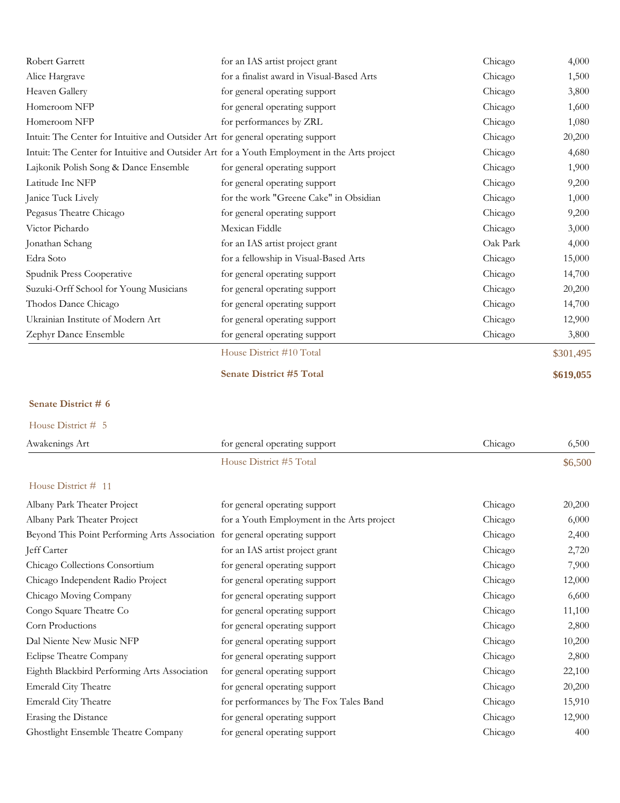| Robert Garrett                                                                               | for an IAS artist project grant           | Chicago  | 4,000     |
|----------------------------------------------------------------------------------------------|-------------------------------------------|----------|-----------|
| Alice Hargrave                                                                               | for a finalist award in Visual-Based Arts | Chicago  | 1,500     |
| Heaven Gallery                                                                               | for general operating support             | Chicago  | 3,800     |
| Homeroom NFP                                                                                 | for general operating support             | Chicago  | 1,600     |
| Homeroom NFP                                                                                 | for performances by ZRL                   | Chicago  | 1,080     |
| Intuit: The Center for Intuitive and Outsider Art for general operating support              |                                           | Chicago  | 20,200    |
| Intuit: The Center for Intuitive and Outsider Art for a Youth Employment in the Arts project |                                           | Chicago  | 4,680     |
| Lajkonik Polish Song & Dance Ensemble                                                        | for general operating support             | Chicago  | 1,900     |
| Latitude Inc NFP                                                                             | for general operating support             | Chicago  | 9,200     |
| Janice Tuck Lively                                                                           | for the work "Greene Cake" in Obsidian    | Chicago  | 1,000     |
| Pegasus Theatre Chicago                                                                      | for general operating support             | Chicago  | 9,200     |
| Victor Pichardo                                                                              | Mexican Fiddle                            | Chicago  | 3,000     |
| Jonathan Schang                                                                              | for an IAS artist project grant           | Oak Park | 4,000     |
| Edra Soto                                                                                    | for a fellowship in Visual-Based Arts     | Chicago  | 15,000    |
| Spudnik Press Cooperative                                                                    | for general operating support             | Chicago  | 14,700    |
| Suzuki-Orff School for Young Musicians                                                       | for general operating support             | Chicago  | 20,200    |
| Thodos Dance Chicago                                                                         | for general operating support             | Chicago  | 14,700    |
| Ukrainian Institute of Modern Art                                                            | for general operating support             | Chicago  | 12,900    |
| Zephyr Dance Ensemble                                                                        | for general operating support             | Chicago  | 3,800     |
|                                                                                              | House District #10 Total                  |          | \$301,495 |
|                                                                                              | <b>Senate District #5 Total</b>           |          | \$619,055 |

| House District # 5                                                          |                                            |         |         |
|-----------------------------------------------------------------------------|--------------------------------------------|---------|---------|
| Awakenings Art                                                              | for general operating support              | Chicago | 6,500   |
|                                                                             | House District #5 Total                    |         | \$6,500 |
| House District # 11                                                         |                                            |         |         |
| Albany Park Theater Project                                                 | for general operating support              | Chicago | 20,200  |
| Albany Park Theater Project                                                 | for a Youth Employment in the Arts project | Chicago | 6,000   |
| Beyond This Point Performing Arts Association for general operating support |                                            | Chicago | 2,400   |
| Jeff Carter                                                                 | for an IAS artist project grant            | Chicago | 2,720   |
| Chicago Collections Consortium                                              | for general operating support              | Chicago | 7,900   |
| Chicago Independent Radio Project                                           | for general operating support              | Chicago | 12,000  |
| Chicago Moving Company                                                      | for general operating support              | Chicago | 6,600   |
| Congo Square Theatre Co                                                     | for general operating support              | Chicago | 11,100  |
| Corn Productions                                                            | for general operating support              | Chicago | 2,800   |
| Dal Niente New Music NFP                                                    | for general operating support              | Chicago | 10,200  |
| Eclipse Theatre Company                                                     | for general operating support              | Chicago | 2,800   |
| Eighth Blackbird Performing Arts Association                                | for general operating support              | Chicago | 22,100  |
| <b>Emerald City Theatre</b>                                                 | for general operating support              | Chicago | 20,200  |
| <b>Emerald City Theatre</b>                                                 | for performances by The Fox Tales Band     | Chicago | 15,910  |
| Erasing the Distance                                                        | for general operating support              | Chicago | 12,900  |
| Ghostlight Ensemble Theatre Company                                         | for general operating support              | Chicago | 400     |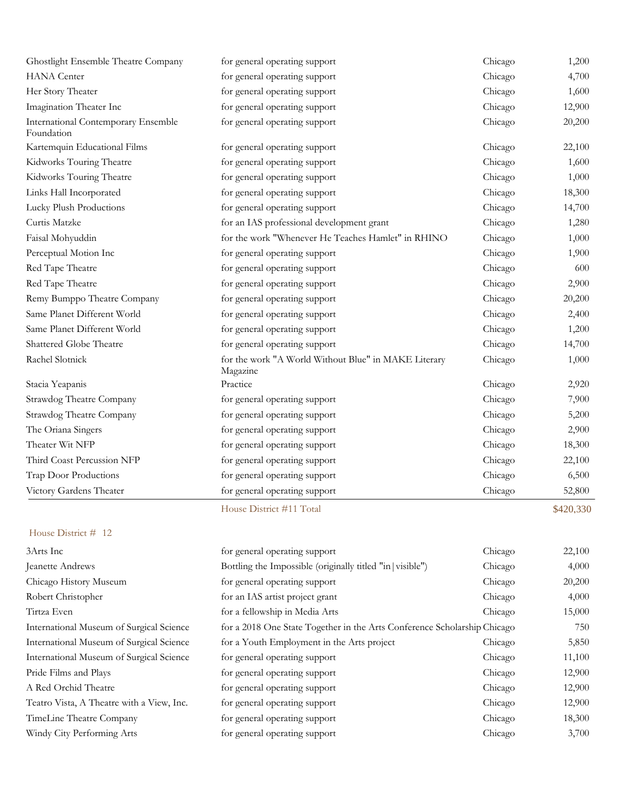| Ghostlight Ensemble Theatre Company               | for general operating support                                    | Chicago | 1,200     |
|---------------------------------------------------|------------------------------------------------------------------|---------|-----------|
| <b>HANA</b> Center                                | for general operating support                                    | Chicago | 4,700     |
| Her Story Theater                                 | for general operating support                                    | Chicago | 1,600     |
| Imagination Theater Inc                           | for general operating support                                    | Chicago | 12,900    |
| International Contemporary Ensemble<br>Foundation | for general operating support                                    | Chicago | 20,200    |
| Kartemquin Educational Films                      | for general operating support                                    | Chicago | 22,100    |
| Kidworks Touring Theatre                          | for general operating support                                    | Chicago | 1,600     |
| Kidworks Touring Theatre                          | for general operating support                                    | Chicago | 1,000     |
| Links Hall Incorporated                           | for general operating support                                    | Chicago | 18,300    |
| Lucky Plush Productions                           | for general operating support                                    | Chicago | 14,700    |
| Curtis Matzke                                     | for an IAS professional development grant                        | Chicago | 1,280     |
| Faisal Mohyuddin                                  | for the work "Whenever He Teaches Hamlet" in RHINO               | Chicago | 1,000     |
| Perceptual Motion Inc                             | for general operating support                                    | Chicago | 1,900     |
| Red Tape Theatre                                  | for general operating support                                    | Chicago | 600       |
| Red Tape Theatre                                  | for general operating support                                    | Chicago | 2,900     |
| Remy Bumppo Theatre Company                       | for general operating support                                    | Chicago | 20,200    |
| Same Planet Different World                       | for general operating support                                    | Chicago | 2,400     |
| Same Planet Different World                       | for general operating support                                    | Chicago | 1,200     |
| Shattered Globe Theatre                           | for general operating support                                    | Chicago | 14,700    |
| Rachel Slotnick                                   | for the work "A World Without Blue" in MAKE Literary<br>Magazine | Chicago | 1,000     |
| Stacia Yeapanis                                   | Practice                                                         | Chicago | 2,920     |
| Strawdog Theatre Company                          | for general operating support                                    | Chicago | 7,900     |
| Strawdog Theatre Company                          | for general operating support                                    | Chicago | 5,200     |
| The Oriana Singers                                | for general operating support                                    | Chicago | 2,900     |
| Theater Wit NFP                                   | for general operating support                                    | Chicago | 18,300    |
| Third Coast Percussion NFP                        | for general operating support                                    | Chicago | 22,100    |
| Trap Door Productions                             | for general operating support                                    | Chicago | 6,500     |
| Victory Gardens Theater                           | for general operating support                                    | Chicago | 52,800    |
|                                                   | House District #11 Total                                         |         | \$420,330 |

| 3Arts Inc                                 | for general operating support                                            | Chicago | 22,100 |
|-------------------------------------------|--------------------------------------------------------------------------|---------|--------|
| Jeanette Andrews                          | Bottling the Impossible (originally titled "in   visible")               | Chicago | 4,000  |
| Chicago History Museum                    | for general operating support                                            | Chicago | 20,200 |
| Robert Christopher                        | for an IAS artist project grant                                          | Chicago | 4,000  |
| Tirtza Even                               | for a fellowship in Media Arts                                           | Chicago | 15,000 |
| International Museum of Surgical Science  | for a 2018 One State Together in the Arts Conference Scholarship Chicago |         | 750    |
| International Museum of Surgical Science  | for a Youth Employment in the Arts project                               | Chicago | 5,850  |
| International Museum of Surgical Science  | for general operating support                                            | Chicago | 11,100 |
| Pride Films and Plays                     | for general operating support                                            | Chicago | 12,900 |
| A Red Orchid Theatre                      | for general operating support                                            | Chicago | 12,900 |
| Teatro Vista, A Theatre with a View, Inc. | for general operating support                                            | Chicago | 12,900 |
| TimeLine Theatre Company                  | for general operating support                                            | Chicago | 18,300 |
| Windy City Performing Arts                | for general operating support                                            | Chicago | 3,700  |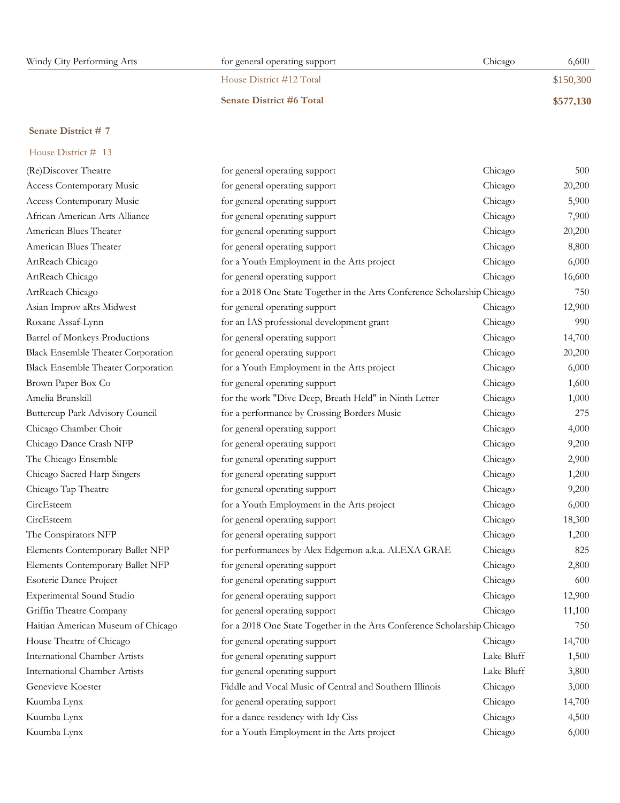| Windy City Performing Arts | for general operating support   | 6,600<br>Chicago |
|----------------------------|---------------------------------|------------------|
|                            | House District #12 Total        | \$150,300        |
|                            | <b>Senate District #6 Total</b> | \$577,130        |

| House District # 13                       |                                                                          |            |        |
|-------------------------------------------|--------------------------------------------------------------------------|------------|--------|
| (Re)Discover Theatre                      | for general operating support                                            | Chicago    | 500    |
| Access Contemporary Music                 | for general operating support                                            | Chicago    | 20,200 |
| Access Contemporary Music                 | for general operating support                                            | Chicago    | 5,900  |
| African American Arts Alliance            | for general operating support                                            | Chicago    | 7,900  |
| American Blues Theater                    | for general operating support                                            | Chicago    | 20,200 |
| American Blues Theater                    | for general operating support                                            | Chicago    | 8,800  |
| ArtReach Chicago                          | for a Youth Employment in the Arts project                               | Chicago    | 6,000  |
| ArtReach Chicago                          | for general operating support                                            | Chicago    | 16,600 |
| ArtReach Chicago                          | for a 2018 One State Together in the Arts Conference Scholarship Chicago |            | 750    |
| Asian Improv aRts Midwest                 | for general operating support                                            | Chicago    | 12,900 |
| Roxane Assaf-Lynn                         | for an IAS professional development grant                                | Chicago    | 990    |
| Barrel of Monkeys Productions             | for general operating support                                            | Chicago    | 14,700 |
| <b>Black Ensemble Theater Corporation</b> | for general operating support                                            | Chicago    | 20,200 |
| <b>Black Ensemble Theater Corporation</b> | for a Youth Employment in the Arts project                               | Chicago    | 6,000  |
| Brown Paper Box Co                        | for general operating support                                            | Chicago    | 1,600  |
| Amelia Brunskill                          | for the work "Dive Deep, Breath Held" in Ninth Letter                    | Chicago    | 1,000  |
| Buttercup Park Advisory Council           | for a performance by Crossing Borders Music                              | Chicago    | 275    |
| Chicago Chamber Choir                     | for general operating support                                            | Chicago    | 4,000  |
| Chicago Dance Crash NFP                   | for general operating support                                            | Chicago    | 9,200  |
| The Chicago Ensemble                      | for general operating support                                            | Chicago    | 2,900  |
| Chicago Sacred Harp Singers               | for general operating support                                            | Chicago    | 1,200  |
| Chicago Tap Theatre                       | for general operating support                                            | Chicago    | 9,200  |
| CircEsteem                                | for a Youth Employment in the Arts project                               | Chicago    | 6,000  |
| CircEsteem                                | for general operating support                                            | Chicago    | 18,300 |
| The Conspirators NFP                      | for general operating support                                            | Chicago    | 1,200  |
| Elements Contemporary Ballet NFP          | for performances by Alex Edgemon a.k.a. ALEXA GRAE                       | Chicago    | 825    |
| Elements Contemporary Ballet NFP          | for general operating support                                            | Chicago    | 2,800  |
| <b>Esoteric Dance Project</b>             | for general operating support                                            | Chicago    | 600    |
| Experimental Sound Studio                 | for general operating support                                            | Chicago    | 12,900 |
| Griffin Theatre Company                   | for general operating support                                            | Chicago    | 11,100 |
| Haitian American Museum of Chicago        | for a 2018 One State Together in the Arts Conference Scholarship Chicago |            | 750    |
| House Theatre of Chicago                  | for general operating support                                            | Chicago    | 14,700 |
| <b>International Chamber Artists</b>      | for general operating support                                            | Lake Bluff | 1,500  |
| <b>International Chamber Artists</b>      | for general operating support                                            | Lake Bluff | 3,800  |
| Genevieve Koester                         | Fiddle and Vocal Music of Central and Southern Illinois                  | Chicago    | 3,000  |
| Kuumba Lynx                               | for general operating support                                            | Chicago    | 14,700 |
| Kuumba Lynx                               | for a dance residency with Idy Ciss                                      | Chicago    | 4,500  |
| Kuumba Lynx                               | for a Youth Employment in the Arts project                               | Chicago    | 6,000  |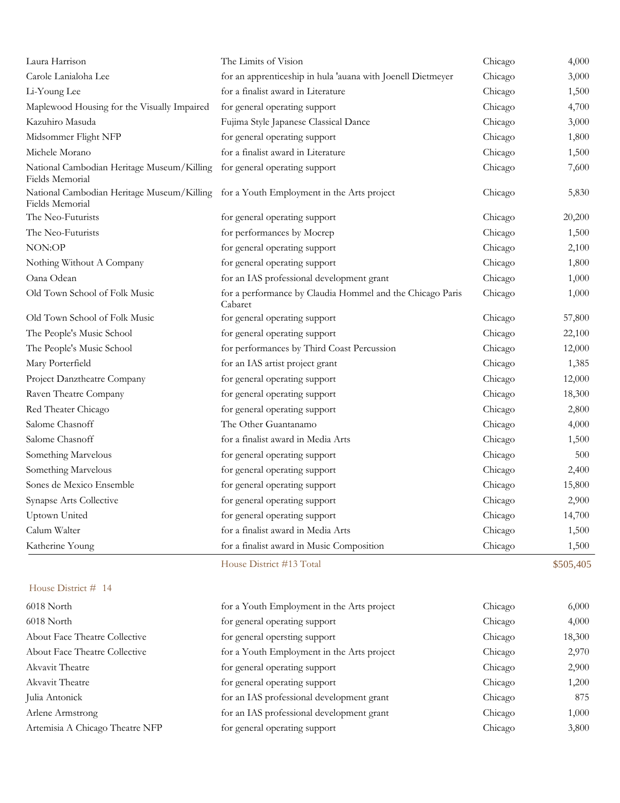| House District # 14                                                                                      |                                                                      |         |           |
|----------------------------------------------------------------------------------------------------------|----------------------------------------------------------------------|---------|-----------|
|                                                                                                          | House District #13 Total                                             |         | \$505,405 |
| Katherine Young                                                                                          | for a finalist award in Music Composition                            | Chicago | 1,500     |
| Calum Walter                                                                                             | for a finalist award in Media Arts                                   | Chicago | 1,500     |
| Uptown United                                                                                            | for general operating support                                        | Chicago | 14,700    |
| Synapse Arts Collective                                                                                  | for general operating support                                        | Chicago | 2,900     |
| Sones de Mexico Ensemble                                                                                 | for general operating support                                        | Chicago | 15,800    |
| Something Marvelous                                                                                      | for general operating support                                        | Chicago | 2,400     |
| Something Marvelous                                                                                      | for general operating support                                        | Chicago | 500       |
| Salome Chasnoff                                                                                          | for a finalist award in Media Arts                                   | Chicago | 1,500     |
| Salome Chasnoff                                                                                          | The Other Guantanamo                                                 | Chicago | 4,000     |
| Red Theater Chicago                                                                                      | for general operating support                                        | Chicago | 2,800     |
| Raven Theatre Company                                                                                    | for general operating support                                        | Chicago | 18,300    |
| Project Danztheatre Company                                                                              | for general operating support                                        | Chicago | 12,000    |
| Mary Porterfield                                                                                         | for an IAS artist project grant                                      | Chicago | 1,385     |
| The People's Music School                                                                                | for performances by Third Coast Percussion                           | Chicago | 12,000    |
| The People's Music School                                                                                | for general operating support                                        | Chicago | 22,100    |
| Old Town School of Folk Music                                                                            | for general operating support                                        | Chicago | 57,800    |
| Old Town School of Folk Music                                                                            | for a performance by Claudia Hommel and the Chicago Paris<br>Cabaret | Chicago | 1,000     |
| Oana Odean                                                                                               | for an IAS professional development grant                            | Chicago | 1,000     |
| Nothing Without A Company                                                                                | for general operating support                                        | Chicago | 1,800     |
| NON:OP                                                                                                   | for general operating support                                        | Chicago | 2,100     |
| The Neo-Futurists                                                                                        | for performances by Mocrep                                           | Chicago | 1,500     |
| The Neo-Futurists                                                                                        | for general operating support                                        | Chicago | 20,200    |
| National Cambodian Heritage Museum/Killing for a Youth Employment in the Arts project<br>Fields Memorial |                                                                      | Chicago | 5,830     |
| National Cambodian Heritage Museum/Killing<br>Fields Memorial                                            | for general operating support                                        | Chicago | 7,600     |
| Michele Morano                                                                                           | for a finalist award in Literature                                   | Chicago | 1,500     |
| Midsommer Flight NFP                                                                                     | for general operating support                                        | Chicago | 1,800     |
| Kazuhiro Masuda                                                                                          | Fujima Style Japanese Classical Dance                                | Chicago | 3,000     |
| Maplewood Housing for the Visually Impaired                                                              | for general operating support                                        | Chicago | 4,700     |
| Li-Young Lee                                                                                             | for a finalist award in Literature                                   | Chicago | 1,500     |
| Carole Lanialoha Lee                                                                                     | for an apprenticeship in hula 'auana with Joenell Dietmeyer          | Chicago | 3,000     |
| Laura Harrison                                                                                           | The Limits of Vision                                                 | Chicago | 4,000     |

| 6018 North                           | for a Youth Employment in the Arts project | Chicago | 6,000  |
|--------------------------------------|--------------------------------------------|---------|--------|
| 6018 North                           | for general operating support              | Chicago | 4,000  |
| About Face Theatre Collective        | for general opersting support              | Chicago | 18,300 |
| <b>About Face Theatre Collective</b> | for a Youth Employment in the Arts project | Chicago | 2,970  |
| Akvavit Theatre                      | for general operating support              | Chicago | 2,900  |
| Akvavit Theatre                      | for general operating support              | Chicago | 1,200  |
| Julia Antonick                       | for an IAS professional development grant  | Chicago | 875    |
| Arlene Armstrong                     | for an IAS professional development grant  | Chicago | 1,000  |
| Artemisia A Chicago Theatre NFP      | for general operating support              | Chicago | 3,800  |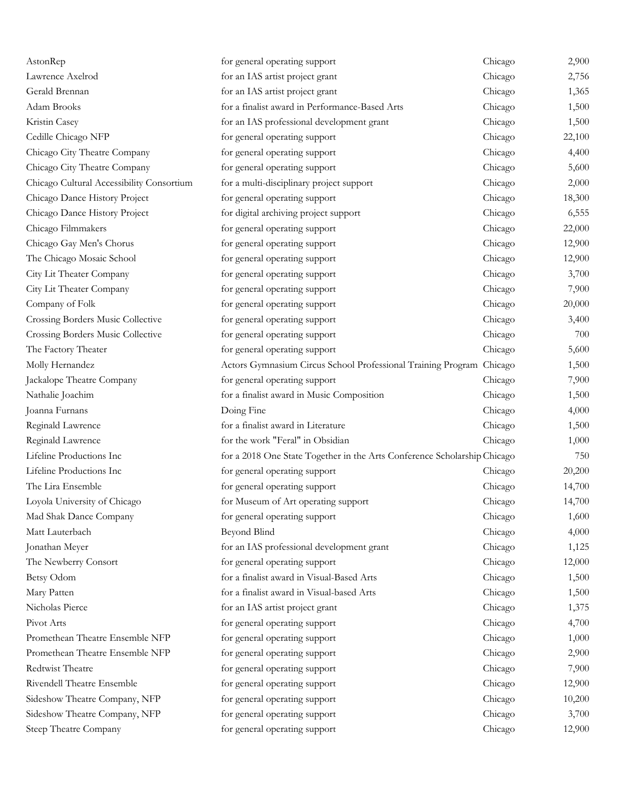| AstonRep                                  | for general operating support                                            | Chicago | 2,900  |
|-------------------------------------------|--------------------------------------------------------------------------|---------|--------|
| Lawrence Axelrod                          | for an IAS artist project grant                                          | Chicago | 2,756  |
| Gerald Brennan                            | for an IAS artist project grant                                          | Chicago | 1,365  |
| Adam Brooks                               | for a finalist award in Performance-Based Arts                           | Chicago | 1,500  |
| Kristin Casey                             | for an IAS professional development grant                                | Chicago | 1,500  |
| Cedille Chicago NFP                       | for general operating support                                            | Chicago | 22,100 |
| Chicago City Theatre Company              | for general operating support                                            | Chicago | 4,400  |
| Chicago City Theatre Company              | for general operating support                                            | Chicago | 5,600  |
| Chicago Cultural Accessibility Consortium | for a multi-disciplinary project support                                 | Chicago | 2,000  |
| Chicago Dance History Project             | for general operating support                                            | Chicago | 18,300 |
| Chicago Dance History Project             | for digital archiving project support                                    | Chicago | 6,555  |
| Chicago Filmmakers                        | for general operating support                                            | Chicago | 22,000 |
| Chicago Gay Men's Chorus                  | for general operating support                                            | Chicago | 12,900 |
| The Chicago Mosaic School                 | for general operating support                                            | Chicago | 12,900 |
| City Lit Theater Company                  | for general operating support                                            | Chicago | 3,700  |
| City Lit Theater Company                  | for general operating support                                            | Chicago | 7,900  |
| Company of Folk                           | for general operating support                                            | Chicago | 20,000 |
| Crossing Borders Music Collective         | for general operating support                                            | Chicago | 3,400  |
| Crossing Borders Music Collective         | for general operating support                                            | Chicago | 700    |
| The Factory Theater                       | for general operating support                                            | Chicago | 5,600  |
| Molly Hernandez                           | Actors Gymnasium Circus School Professional Training Program Chicago     |         | 1,500  |
| Jackalope Theatre Company                 | for general operating support                                            | Chicago | 7,900  |
| Nathalie Joachim                          | for a finalist award in Music Composition                                | Chicago | 1,500  |
| Joanna Furnans                            | Doing Fine                                                               | Chicago | 4,000  |
| Reginald Lawrence                         | for a finalist award in Literature                                       | Chicago | 1,500  |
| Reginald Lawrence                         | for the work "Feral" in Obsidian                                         | Chicago | 1,000  |
| Lifeline Productions Inc                  | for a 2018 One State Together in the Arts Conference Scholarship Chicago |         | 750    |
| Lifeline Productions Inc                  | for general operating support                                            | Chicago | 20,200 |
| The Lira Ensemble                         | for general operating support                                            | Chicago | 14,700 |
| Loyola University of Chicago              | for Museum of Art operating support                                      | Chicago | 14,700 |
| Mad Shak Dance Company                    | for general operating support                                            | Chicago | 1,600  |
| Matt Lauterbach                           | <b>Beyond Blind</b>                                                      | Chicago | 4,000  |
| Jonathan Meyer                            | for an IAS professional development grant                                | Chicago | 1,125  |
| The Newberry Consort                      | for general operating support                                            | Chicago | 12,000 |
| Betsy Odom                                | for a finalist award in Visual-Based Arts                                | Chicago | 1,500  |
| Mary Patten                               | for a finalist award in Visual-based Arts                                | Chicago | 1,500  |
| Nicholas Pierce                           | for an IAS artist project grant                                          | Chicago | 1,375  |
| Pivot Arts                                | for general operating support                                            | Chicago | 4,700  |
| Promethean Theatre Ensemble NFP           | for general operating support                                            | Chicago | 1,000  |
| Promethean Theatre Ensemble NFP           | for general operating support                                            | Chicago | 2,900  |
| Redtwist Theatre                          | for general operating support                                            | Chicago | 7,900  |
| Rivendell Theatre Ensemble                | for general operating support                                            | Chicago | 12,900 |
| Sideshow Theatre Company, NFP             | for general operating support                                            | Chicago | 10,200 |
| Sideshow Theatre Company, NFP             | for general operating support                                            | Chicago | 3,700  |
| Steep Theatre Company                     | for general operating support                                            | Chicago | 12,900 |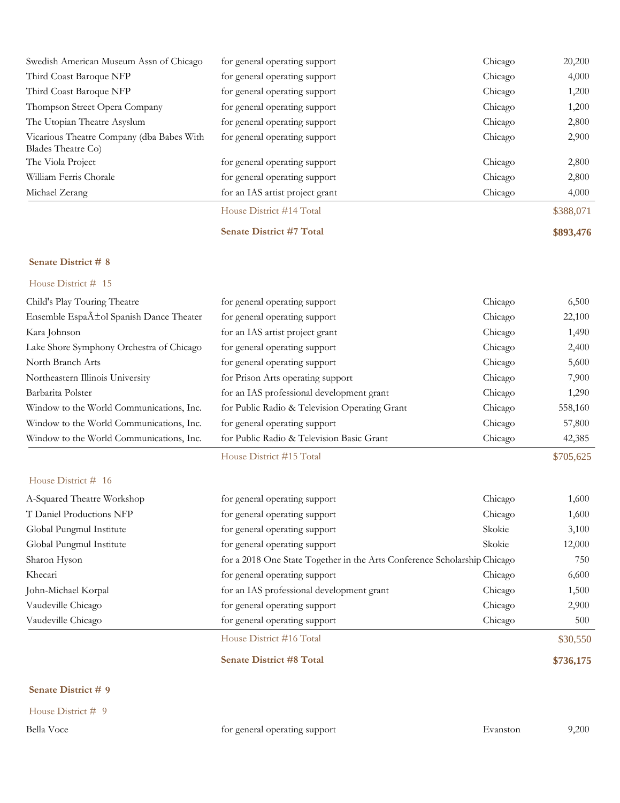| Swedish American Museum Assn of Chicago                         | for general operating support   | Chicago | 20,200    |
|-----------------------------------------------------------------|---------------------------------|---------|-----------|
| Third Coast Baroque NFP                                         | for general operating support   | Chicago | 4,000     |
| Third Coast Baroque NFP                                         | for general operating support   | Chicago | 1,200     |
| Thompson Street Opera Company                                   | for general operating support   | Chicago | 1,200     |
| The Utopian Theatre Asyslum                                     | for general operating support   | Chicago | 2,800     |
| Vicarious Theatre Company (dba Babes With<br>Blades Theatre Co. | for general operating support   | Chicago | 2,900     |
| The Viola Project                                               | for general operating support   | Chicago | 2,800     |
| William Ferris Chorale                                          | for general operating support   | Chicago | 2,800     |
| Michael Zerang                                                  | for an IAS artist project grant | Chicago | 4,000     |
|                                                                 | House District #14 Total        |         | \$388,071 |

## **Senate District #7 Total \$893,476**

#### **Senate District # 8**

|                                                     | House District #15 Total                      |         | \$705,625 |
|-----------------------------------------------------|-----------------------------------------------|---------|-----------|
| Window to the World Communications, Inc.            | for Public Radio & Television Basic Grant     | Chicago | 42,385    |
| Window to the World Communications, Inc.            | for general operating support                 | Chicago | 57,800    |
| Window to the World Communications, Inc.            | for Public Radio & Television Operating Grant | Chicago | 558,160   |
| Barbarita Polster                                   | for an IAS professional development grant     | Chicago | 1,290     |
| Northeastern Illinois University                    | for Prison Arts operating support             | Chicago | 7,900     |
| North Branch Arts                                   | for general operating support                 | Chicago | 5,600     |
| Lake Shore Symphony Orchestra of Chicago            | for general operating support                 | Chicago | 2,400     |
| Kara Johnson                                        | for an IAS artist project grant               | Chicago | 1,490     |
| Ensemble Espa $\tilde{A}$ tol Spanish Dance Theater | for general operating support                 | Chicago | 22,100    |
| Child's Play Touring Theatre                        | for general operating support                 | Chicago | 6,500     |
| House District # 15                                 |                                               |         |           |

#### House District # 16

| A-Squared Theatre Workshop | for general operating support             | Chicago                                                                  | 1,600    |
|----------------------------|-------------------------------------------|--------------------------------------------------------------------------|----------|
| T Daniel Productions NFP   | for general operating support             | Chicago                                                                  | 1,600    |
| Global Pungmul Institute   | for general operating support             | Skokie                                                                   | 3,100    |
| Global Pungmul Institute   | for general operating support             | Skokie                                                                   | 12,000   |
| Sharon Hyson               |                                           | for a 2018 One State Together in the Arts Conference Scholarship Chicago |          |
| Khecari                    | for general operating support             | Chicago                                                                  | 6,600    |
| John-Michael Korpal        | for an IAS professional development grant | Chicago                                                                  | 1,500    |
| Vaudeville Chicago         | for general operating support             | Chicago                                                                  | 2,900    |
| Vaudeville Chicago         | for general operating support             | Chicago                                                                  | 500      |
|                            | House District #16 Total                  |                                                                          | \$30,550 |

# **Senate District #8 Total \$736,175**

|  | Senate District # 9 |  |  |
|--|---------------------|--|--|
|--|---------------------|--|--|

House District # 9

Bella Voce for general operating support Evanston 9,200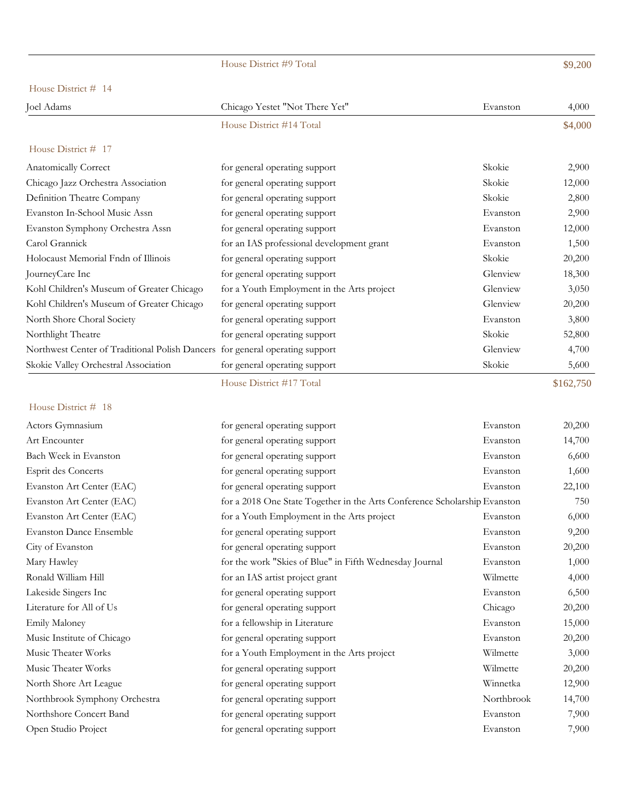|                                                                              | House District #9 Total                                                   |            | \$9,200   |
|------------------------------------------------------------------------------|---------------------------------------------------------------------------|------------|-----------|
| House District # 14                                                          |                                                                           |            |           |
| Joel Adams                                                                   | Chicago Yestet "Not There Yet"                                            | Evanston   | 4,000     |
|                                                                              | House District #14 Total                                                  |            | \$4,000   |
| House District # 17                                                          |                                                                           |            |           |
| Anatomically Correct                                                         | for general operating support                                             | Skokie     | 2,900     |
| Chicago Jazz Orchestra Association                                           | for general operating support                                             | Skokie     | 12,000    |
| Definition Theatre Company                                                   | for general operating support                                             | Skokie     | 2,800     |
| Evanston In-School Music Assn                                                | for general operating support                                             | Evanston   | 2,900     |
| Evanston Symphony Orchestra Assn                                             | for general operating support                                             | Evanston   | 12,000    |
| Carol Grannick                                                               | for an IAS professional development grant                                 | Evanston   | 1,500     |
| Holocaust Memorial Fndn of Illinois                                          | for general operating support                                             | Skokie     | 20,200    |
| JourneyCare Inc                                                              | for general operating support                                             | Glenview   | 18,300    |
| Kohl Children's Museum of Greater Chicago                                    | for a Youth Employment in the Arts project                                | Glenview   | 3,050     |
| Kohl Children's Museum of Greater Chicago                                    | for general operating support                                             | Glenview   | 20,200    |
| North Shore Choral Society                                                   | for general operating support                                             | Evanston   | 3,800     |
| Northlight Theatre                                                           | for general operating support                                             | Skokie     | 52,800    |
| Northwest Center of Traditional Polish Dancers for general operating support |                                                                           | Glenview   | 4,700     |
| Skokie Valley Orchestral Association                                         | for general operating support                                             | Skokie     | 5,600     |
|                                                                              | House District #17 Total                                                  |            | \$162,750 |
| House District # 18                                                          |                                                                           |            |           |
| Actors Gymnasium                                                             | for general operating support                                             | Evanston   | 20,200    |
| Art Encounter                                                                | for general operating support                                             | Evanston   | 14,700    |
| Bach Week in Evanston                                                        | for general operating support                                             | Evanston   | 6,600     |
| Esprit des Concerts                                                          | for general operating support                                             | Evanston   | 1,600     |
| Evanston Art Center (EAC)                                                    | for general operating support                                             | Evanston   | 22,100    |
| Evanston Art Center (EAC)                                                    | for a 2018 One State Together in the Arts Conference Scholarship Evanston |            | 750       |
| Evanston Art Center (EAC)                                                    | for a Youth Employment in the Arts project                                | Evanston   | 6,000     |
| <b>Evanston Dance Ensemble</b>                                               | for general operating support                                             | Evanston   | 9,200     |
| City of Evanston                                                             | for general operating support                                             | Evanston   | 20,200    |
| Mary Hawley                                                                  | for the work "Skies of Blue" in Fifth Wednesday Journal                   | Evanston   | 1,000     |
| Ronald William Hill                                                          | for an IAS artist project grant                                           | Wilmette   | 4,000     |
| Lakeside Singers Inc                                                         | for general operating support                                             | Evanston   | 6,500     |
| Literature for All of Us                                                     | for general operating support                                             | Chicago    | 20,200    |
| Emily Maloney                                                                | for a fellowship in Literature                                            | Evanston   | 15,000    |
| Music Institute of Chicago                                                   | for general operating support                                             | Evanston   | 20,200    |
| Music Theater Works                                                          | for a Youth Employment in the Arts project                                | Wilmette   | 3,000     |
| Music Theater Works                                                          | for general operating support                                             | Wilmette   | 20,200    |
| North Shore Art League                                                       | for general operating support                                             | Winnetka   | 12,900    |
| Northbrook Symphony Orchestra                                                | for general operating support                                             | Northbrook | 14,700    |
| Northshore Concert Band                                                      | for general operating support                                             | Evanston   | 7,900     |
| Open Studio Project                                                          | for general operating support                                             | Evanston   | 7,900     |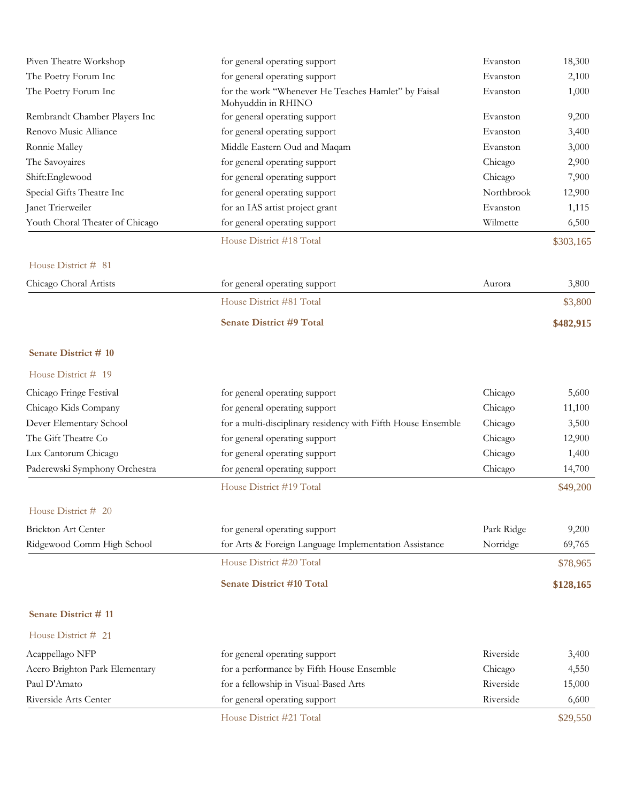| Piven Theatre Workshop          | for general operating support                                             | Evanston   | 18,300    |
|---------------------------------|---------------------------------------------------------------------------|------------|-----------|
| The Poetry Forum Inc            | for general operating support                                             | Evanston   | 2,100     |
| The Poetry Forum Inc            | for the work "Whenever He Teaches Hamlet" by Faisal<br>Mohyuddin in RHINO | Evanston   | 1,000     |
| Rembrandt Chamber Players Inc   | for general operating support                                             | Evanston   | 9,200     |
| Renovo Music Alliance           | for general operating support                                             | Evanston   | 3,400     |
| Ronnie Malley                   | Middle Eastern Oud and Maqam                                              | Evanston   | 3,000     |
| The Savoyaires                  | for general operating support                                             | Chicago    | 2,900     |
| Shift:Englewood                 | for general operating support                                             | Chicago    | 7,900     |
| Special Gifts Theatre Inc       | for general operating support                                             | Northbrook | 12,900    |
| Janet Trierweiler               | for an IAS artist project grant                                           | Evanston   | 1,115     |
| Youth Choral Theater of Chicago | for general operating support                                             | Wilmette   | 6,500     |
|                                 | House District #18 Total                                                  |            | \$303,165 |
| House District # 81             |                                                                           |            |           |
| Chicago Choral Artists          | for general operating support                                             | Aurora     | 3,800     |
|                                 | House District #81 Total                                                  |            | \$3,800   |
|                                 | <b>Senate District #9 Total</b>                                           |            | \$482,915 |
| Senate District # 10            |                                                                           |            |           |
| House District # 19             |                                                                           |            |           |
| Chicago Fringe Festival         | for general operating support                                             | Chicago    | 5,600     |
| Chicago Kids Company            | for general operating support                                             | Chicago    | 11,100    |
| Dever Elementary School         | for a multi-disciplinary residency with Fifth House Ensemble              | Chicago    | 3,500     |
| The Gift Theatre Co             | for general operating support                                             | Chicago    | 12,900    |
| Lux Cantorum Chicago            | for general operating support                                             | Chicago    | 1,400     |
| Paderewski Symphony Orchestra   | for general operating support                                             | Chicago    | 14,700    |
|                                 | House District #19 Total                                                  |            | \$49,200  |
| House District # 20             |                                                                           |            |           |
| Brickton Art Center             | for general operating support                                             | Park Ridge | 9,200     |
| Ridgewood Comm High School      | for Arts & Foreign Language Implementation Assistance                     | Norridge   | 69,765    |
|                                 | House District #20 Total                                                  |            | \$78,965  |
|                                 | <b>Senate District #10 Total</b>                                          |            | \$128,165 |
| Senate District #11             |                                                                           |            |           |
| House District # 21             |                                                                           |            |           |
| Acappellago NFP                 | for general operating support                                             | Riverside  | 3,400     |
| Acero Brighton Park Elementary  | for a performance by Fifth House Ensemble                                 | Chicago    | 4,550     |
| Paul D'Amato                    | for a fellowship in Visual-Based Arts                                     | Riverside  | 15,000    |
| Riverside Arts Center           | for general operating support                                             | Riverside  | 6,600     |
|                                 | House District #21 Total                                                  |            | \$29,550  |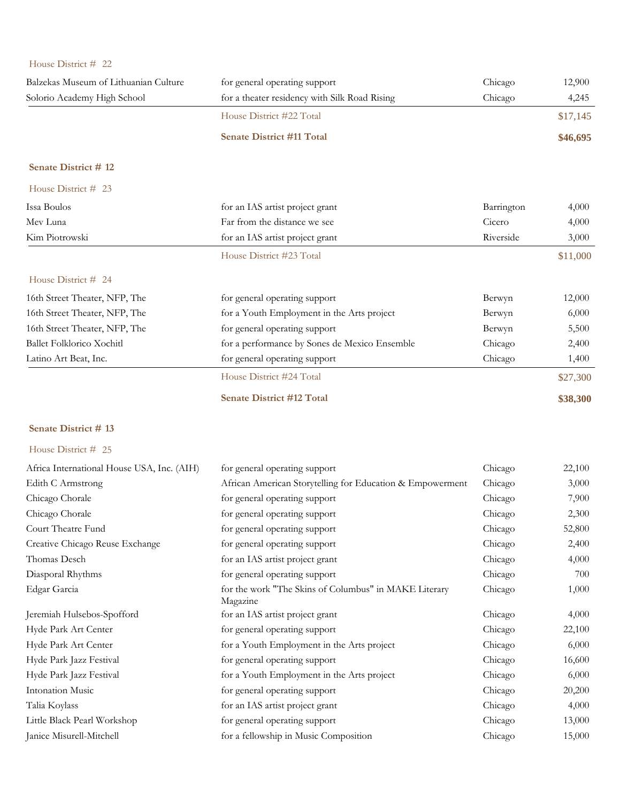| House District # 22                        |                                                                   |            |          |
|--------------------------------------------|-------------------------------------------------------------------|------------|----------|
| Balzekas Museum of Lithuanian Culture      | for general operating support                                     | Chicago    | 12,900   |
| Solorio Academy High School                | for a theater residency with Silk Road Rising                     | Chicago    | 4,245    |
|                                            | House District #22 Total                                          |            | \$17,145 |
|                                            | <b>Senate District #11 Total</b>                                  |            | \$46,695 |
| Senate District #12                        |                                                                   |            |          |
| House District # 23                        |                                                                   |            |          |
| Issa Boulos                                | for an IAS artist project grant                                   | Barrington | 4,000    |
| Mev Luna                                   | Far from the distance we see                                      | Cicero     | 4,000    |
| Kim Piotrowski                             | for an IAS artist project grant                                   | Riverside  | 3,000    |
|                                            | House District #23 Total                                          |            | \$11,000 |
| House District # 24                        |                                                                   |            |          |
| 16th Street Theater, NFP, The              | for general operating support                                     | Berwyn     | 12,000   |
| 16th Street Theater, NFP, The              | for a Youth Employment in the Arts project                        | Berwyn     | 6,000    |
| 16th Street Theater, NFP, The              | for general operating support                                     | Berwyn     | 5,500    |
| <b>Ballet Folklorico Xochitl</b>           | for a performance by Sones de Mexico Ensemble                     | Chicago    | 2,400    |
| Latino Art Beat, Inc.                      | for general operating support                                     | Chicago    | 1,400    |
|                                            | House District #24 Total                                          |            | \$27,300 |
|                                            | <b>Senate District #12 Total</b>                                  |            | \$38,300 |
| Senate District #13                        |                                                                   |            |          |
| House District # 25                        |                                                                   |            |          |
| Africa International House USA, Inc. (AIH) | for general operating support                                     | Chicago    | 22,100   |
| Edith C Armstrong                          | African American Storytelling for Education & Empowerment         | Chicago    | 3,000    |
| Chicago Chorale                            | for general operating support                                     | Chicago    | 7,900    |
| Chicago Chorale                            | for general operating support                                     | Chicago    | 2,300    |
| Court Theatre Fund                         | for general operating support                                     | Chicago    | 52,800   |
| Creative Chicago Reuse Exchange            | for general operating support                                     | Chicago    | 2,400    |
| Thomas Desch                               | for an IAS artist project grant                                   | Chicago    | 4,000    |
| Diasporal Rhythms                          | for general operating support                                     | Chicago    | 700      |
| Edgar Garcia                               | for the work "The Skins of Columbus" in MAKE Literary<br>Magazine | Chicago    | 1,000    |
| Jeremiah Hulsebos-Spofford                 | for an IAS artist project grant                                   | Chicago    | 4,000    |
| Hyde Park Art Center                       | for general operating support                                     | Chicago    | 22,100   |
| Hyde Park Art Center                       | for a Youth Employment in the Arts project                        | Chicago    | 6,000    |
| Hyde Park Jazz Festival                    | for general operating support                                     | Chicago    | 16,600   |
| Hyde Park Jazz Festival                    | for a Youth Employment in the Arts project                        | Chicago    | 6,000    |
| <b>Intonation Music</b>                    | for general operating support                                     | Chicago    | 20,200   |
| Talia Koylass                              | for an IAS artist project grant                                   | Chicago    | 4,000    |
| Little Black Pearl Workshop                | for general operating support                                     | Chicago    | 13,000   |
| Janice Misurell-Mitchell                   | for a fellowship in Music Composition                             | Chicago    | 15,000   |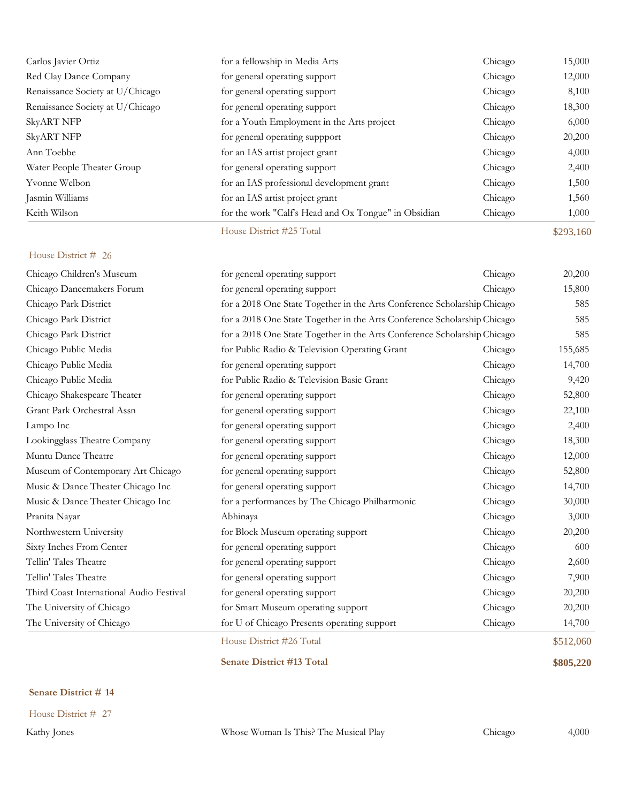| Carlos Javier Ortiz              | for a fellowship in Media Arts                       | Chicago | 15,000    |
|----------------------------------|------------------------------------------------------|---------|-----------|
| Red Clay Dance Company           | for general operating support                        | Chicago | 12,000    |
| Renaissance Society at U/Chicago | for general operating support                        | Chicago | 8,100     |
| Renaissance Society at U/Chicago | for general operating support                        | Chicago | 18,300    |
| <b>SkyART NFP</b>                | for a Youth Employment in the Arts project           | Chicago | 6,000     |
| <b>SkyART NFP</b>                | for general operating suppport                       | Chicago | 20,200    |
| Ann Toebbe                       | for an IAS artist project grant                      | Chicago | 4,000     |
| Water People Theater Group       | for general operating support                        | Chicago | 2,400     |
| Yvonne Welbon                    | for an IAS professional development grant            | Chicago | 1,500     |
| Jasmin Williams                  | for an IAS artist project grant                      | Chicago | 1,560     |
| Keith Wilson                     | for the work "Calf's Head and Ox Tongue" in Obsidian | Chicago | 1,000     |
|                                  | House District #25 Total                             |         | \$293,160 |

|                                          | House District #26 Total                                                 |         | \$512,060 |
|------------------------------------------|--------------------------------------------------------------------------|---------|-----------|
| The University of Chicago                | for U of Chicago Presents operating support                              | Chicago | 14,700    |
| The University of Chicago                | for Smart Museum operating support                                       | Chicago | 20,200    |
| Third Coast International Audio Festival | for general operating support                                            | Chicago | 20,200    |
| Tellin' Tales Theatre                    | for general operating support                                            | Chicago | 7,900     |
| Tellin' Tales Theatre                    | for general operating support                                            | Chicago | 2,600     |
| Sixty Inches From Center                 | for general operating support                                            | Chicago | 600       |
| Northwestern University                  | for Block Museum operating support                                       | Chicago | 20,200    |
| Pranita Nayar                            | Abhinaya                                                                 | Chicago | 3,000     |
| Music & Dance Theater Chicago Inc        | for a performances by The Chicago Philharmonic                           | Chicago | 30,000    |
| Music & Dance Theater Chicago Inc        | for general operating support                                            | Chicago | 14,700    |
| Museum of Contemporary Art Chicago       | for general operating support                                            | Chicago | 52,800    |
| Muntu Dance Theatre                      | for general operating support                                            | Chicago | 12,000    |
| Lookingglass Theatre Company             | for general operating support                                            | Chicago | 18,300    |
| Lampo Inc                                | for general operating support                                            | Chicago | 2,400     |
| Grant Park Orchestral Assn               | for general operating support                                            | Chicago | 22,100    |
| Chicago Shakespeare Theater              | for general operating support                                            | Chicago | 52,800    |
| Chicago Public Media                     | for Public Radio & Television Basic Grant                                | Chicago | 9,420     |
| Chicago Public Media                     | for general operating support                                            | Chicago | 14,700    |
| Chicago Public Media                     | for Public Radio & Television Operating Grant                            | Chicago | 155,685   |
| Chicago Park District                    | for a 2018 One State Together in the Arts Conference Scholarship Chicago |         | 585       |
| Chicago Park District                    | for a 2018 One State Together in the Arts Conference Scholarship Chicago |         | 585       |
| Chicago Park District                    | for a 2018 One State Together in the Arts Conference Scholarship Chicago |         | 585       |
| Chicago Dancemakers Forum                | for general operating support                                            | Chicago | 15,800    |
| Chicago Children's Museum                | for general operating support                                            | Chicago | 20,200    |

## **Senate District # 14**

House District # 27

Kathy Jones Whose Woman Is This? The Musical Play Chicago 4,000

**Senate District #13 Total \$805,220**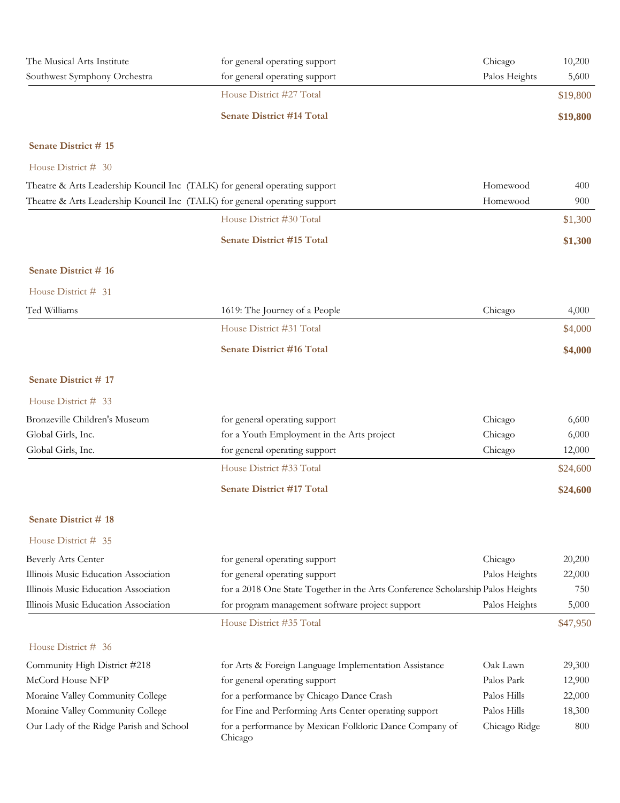| The Musical Arts Institute<br>Southwest Symphony Orchestra                 | for general operating support<br>for general operating support                 | Chicago<br>Palos Heights | 10,200<br>5,600 |
|----------------------------------------------------------------------------|--------------------------------------------------------------------------------|--------------------------|-----------------|
|                                                                            | House District #27 Total                                                       |                          | \$19,800        |
|                                                                            | <b>Senate District #14 Total</b>                                               |                          | \$19,800        |
| Senate District #15                                                        |                                                                                |                          |                 |
| House District # 30                                                        |                                                                                |                          |                 |
| Theatre & Arts Leadership Kouncil Inc (TALK) for general operating support |                                                                                | Homewood                 | 400             |
| Theatre & Arts Leadership Kouncil Inc (TALK) for general operating support |                                                                                | Homewood                 | 900             |
|                                                                            | House District #30 Total                                                       |                          | \$1,300         |
|                                                                            | <b>Senate District #15 Total</b>                                               |                          | \$1,300         |
| Senate District #16                                                        |                                                                                |                          |                 |
| House District # 31                                                        |                                                                                |                          |                 |
| Ted Williams                                                               | 1619: The Journey of a People                                                  | Chicago                  | 4,000           |
|                                                                            | House District #31 Total                                                       |                          | \$4,000         |
|                                                                            | <b>Senate District #16 Total</b>                                               |                          | \$4,000         |
| <b>Senate District #17</b>                                                 |                                                                                |                          |                 |
| House District # 33                                                        |                                                                                |                          |                 |
| Bronzeville Children's Museum                                              | for general operating support                                                  | Chicago                  | 6,600           |
| Global Girls, Inc.                                                         | for a Youth Employment in the Arts project                                     | Chicago                  | 6,000           |
| Global Girls, Inc.                                                         | for general operating support                                                  | Chicago                  | 12,000          |
|                                                                            | House District #33 Total                                                       |                          | \$24,600        |
|                                                                            | <b>Senate District #17 Total</b>                                               |                          | \$24,600        |
| Senate District #18                                                        |                                                                                |                          |                 |
| House District # 35                                                        |                                                                                |                          |                 |
| <b>Beverly Arts Center</b>                                                 | for general operating support                                                  | Chicago                  | 20,200          |
| Illinois Music Education Association                                       | for general operating support                                                  | Palos Heights            | 22,000          |
| Illinois Music Education Association                                       | for a 2018 One State Together in the Arts Conference Scholarship Palos Heights |                          | 750             |
| Illinois Music Education Association                                       | for program management software project support                                | Palos Heights            | 5,000           |
|                                                                            | House District #35 Total                                                       |                          | \$47,950        |
| House District # 36                                                        |                                                                                |                          |                 |
| Community High District #218                                               | for Arts & Foreign Language Implementation Assistance                          | Oak Lawn                 | 29,300          |
| McCord House NFP                                                           | for general operating support                                                  | Palos Park               | 12,900          |
| Moraine Valley Community College                                           | for a performance by Chicago Dance Crash                                       | Palos Hills              | 22,000          |
| Moraine Valley Community College                                           | for Fine and Performing Arts Center operating support                          | Palos Hills              | 18,300          |
| Our Lady of the Ridge Parish and School                                    | for a performance by Mexican Folkloric Dance Company of<br>Chicago             | Chicago Ridge            | 800             |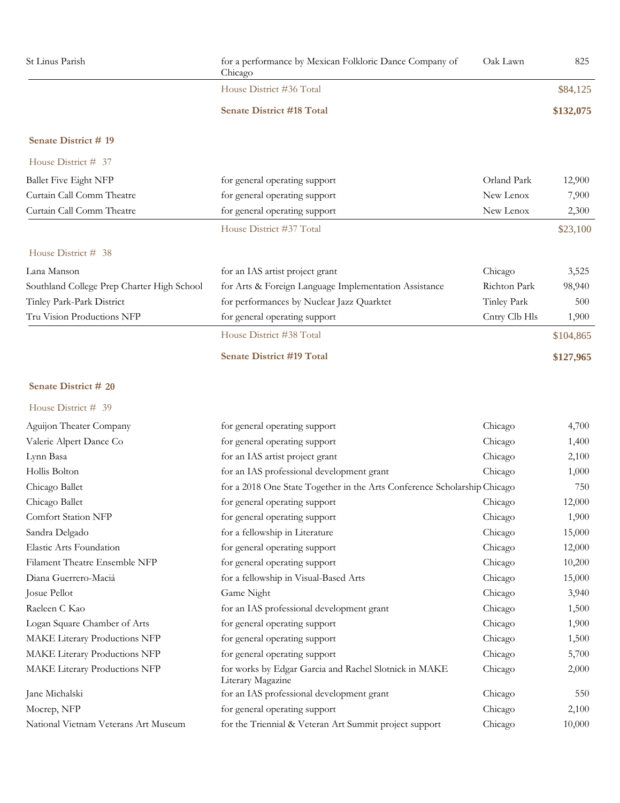| St Linus Parish                            | for a performance by Mexican Folkloric Dance Company of<br>Chicago         | Oak Lawn      | 825       |
|--------------------------------------------|----------------------------------------------------------------------------|---------------|-----------|
|                                            | House District #36 Total                                                   |               | \$84,125  |
|                                            | <b>Senate District #18 Total</b>                                           |               | \$132,075 |
| Senate District #19                        |                                                                            |               |           |
| House District # 37                        |                                                                            |               |           |
| <b>Ballet Five Eight NFP</b>               | for general operating support                                              | Orland Park   | 12,900    |
| Curtain Call Comm Theatre                  | for general operating support                                              | New Lenox     | 7,900     |
| Curtain Call Comm Theatre                  | for general operating support                                              | New Lenox     | 2,300     |
|                                            | House District #37 Total                                                   |               | \$23,100  |
| House District # 38                        |                                                                            |               |           |
| Lana Manson                                | for an IAS artist project grant                                            | Chicago       | 3,525     |
| Southland College Prep Charter High School | for Arts & Foreign Language Implementation Assistance                      | Richton Park  | 98,940    |
| Tinley Park-Park District                  | for performances by Nuclear Jazz Quarktet                                  | Tinley Park   | 500       |
| Tru Vision Productions NFP                 | for general operating support                                              | Cntry Clb Hls | 1,900     |
|                                            | House District #38 Total                                                   |               | \$104,865 |
|                                            | <b>Senate District #19 Total</b>                                           |               | \$127,965 |
| Senate District # 20                       |                                                                            |               |           |
| House District # 39                        |                                                                            |               |           |
| Aguijon Theater Company                    | for general operating support                                              | Chicago       | 4,700     |
| Valerie Alpert Dance Co                    | for general operating support                                              | Chicago       | 1,400     |
| Lynn Basa                                  | for an IAS artist project grant                                            | Chicago       | 2,100     |
| Hollis Bolton                              | for an IAS professional development grant                                  | Chicago       | 1,000     |
| Chicago Ballet                             | for a 2018 One State Together in the Arts Conference Scholarship Chicago   |               | 750       |
| Chicago Ballet                             | for general operating support                                              | Chicago       | 12,000    |
| <b>Comfort Station NFP</b>                 | for general operating support                                              | Chicago       | 1,900     |
| Sandra Delgado                             | for a fellowship in Literature                                             | Chicago       | 15,000    |
| Elastic Arts Foundation                    | for general operating support                                              | Chicago       | 12,000    |
| Filament Theatre Ensemble NFP              | for general operating support                                              | Chicago       | 10,200    |
| Diana Guerrero-Maciá                       | for a fellowship in Visual-Based Arts                                      | Chicago       | 15,000    |
| Josue Pellot                               | Game Night                                                                 | Chicago       | 3,940     |
| Raeleen C Kao                              | for an IAS professional development grant                                  | Chicago       | 1,500     |
| Logan Square Chamber of Arts               | for general operating support                                              | Chicago       | 1,900     |
| MAKE Literary Productions NFP              | for general operating support                                              | Chicago       | 1,500     |
| MAKE Literary Productions NFP              | for general operating support                                              | Chicago       | 5,700     |
| MAKE Literary Productions NFP              | for works by Edgar Garcia and Rachel Slotnick in MAKE<br>Literary Magazine | Chicago       | 2,000     |
| Jane Michalski                             | for an IAS professional development grant                                  | Chicago       | 550       |
| Mocrep, NFP                                | for general operating support                                              | Chicago       | 2,100     |
| National Vietnam Veterans Art Museum       | for the Triennial & Veteran Art Summit project support                     | Chicago       | 10,000    |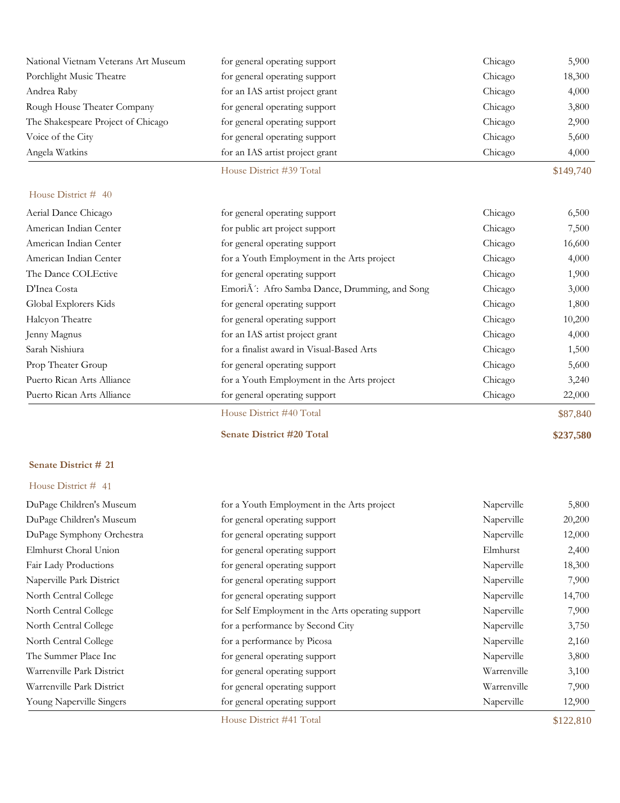| National Vietnam Veterans Art Museum | for general operating support   | Chicago | 5,900     |
|--------------------------------------|---------------------------------|---------|-----------|
| Porchlight Music Theatre             | for general operating support   | Chicago | 18,300    |
| Andrea Raby                          | for an IAS artist project grant | Chicago | 4,000     |
| Rough House Theater Company          | for general operating support   | Chicago | 3,800     |
| The Shakespeare Project of Chicago   | for general operating support   | Chicago | 2,900     |
| Voice of the City                    | for general operating support   | Chicago | 5,600     |
| Angela Watkins                       | for an IAS artist project grant | Chicago | 4,000     |
|                                      | House District #39 Total        |         | \$149,740 |

| Aerial Dance Chicago       | for general operating support                            | Chicago | 6,500    |
|----------------------------|----------------------------------------------------------|---------|----------|
| American Indian Center     | for public art project support                           | Chicago | 7,500    |
| American Indian Center     | for general operating support                            | Chicago | 16,600   |
| American Indian Center     | for a Youth Employment in the Arts project               | Chicago | 4,000    |
| The Dance COLEctive        | for general operating support                            | Chicago | 1,900    |
| D'Inea Costa               | Emori $\tilde{A}$ : Afro Samba Dance, Drumming, and Song | Chicago | 3,000    |
| Global Explorers Kids      | for general operating support                            | Chicago | 1,800    |
| Halcyon Theatre            | for general operating support                            | Chicago | 10,200   |
| Jenny Magnus               | for an IAS artist project grant                          | Chicago | 4,000    |
| Sarah Nishiura             | for a finalist award in Visual-Based Arts                | Chicago | 1,500    |
| Prop Theater Group         | for general operating support                            | Chicago | 5,600    |
| Puerto Rican Arts Alliance | for a Youth Employment in the Arts project               | Chicago | 3,240    |
| Puerto Rican Arts Alliance | for general operating support                            | Chicago | 22,000   |
|                            | House District #40 Total                                 |         | \$87,840 |

**Senate District #20 Total \$237,580**

#### **Senate District # 21**

| DuPage Children's Museum  | for a Youth Employment in the Arts project        | Naperville  | 5,800     |
|---------------------------|---------------------------------------------------|-------------|-----------|
| DuPage Children's Museum  | for general operating support                     | Naperville  | 20,200    |
| DuPage Symphony Orchestra | for general operating support                     | Naperville  | 12,000    |
| Elmhurst Choral Union     | for general operating support                     | Elmhurst    | 2,400     |
| Fair Lady Productions     | for general operating support                     | Naperville  | 18,300    |
| Naperville Park District  | for general operating support                     | Naperville  | 7,900     |
| North Central College     | for general operating support                     | Naperville  | 14,700    |
| North Central College     | for Self Employment in the Arts operating support | Naperville  | 7,900     |
| North Central College     | for a performance by Second City                  | Naperville  | 3,750     |
| North Central College     | for a performance by Picosa                       | Naperville  | 2,160     |
| The Summer Place Inc      | for general operating support                     | Naperville  | 3,800     |
| Warrenville Park District | for general operating support                     | Warrenville | 3,100     |
| Warrenville Park District | for general operating support                     | Warrenville | 7,900     |
| Young Naperville Singers  | for general operating support                     | Naperville  | 12,900    |
|                           | House District #41 Total                          |             | \$122,810 |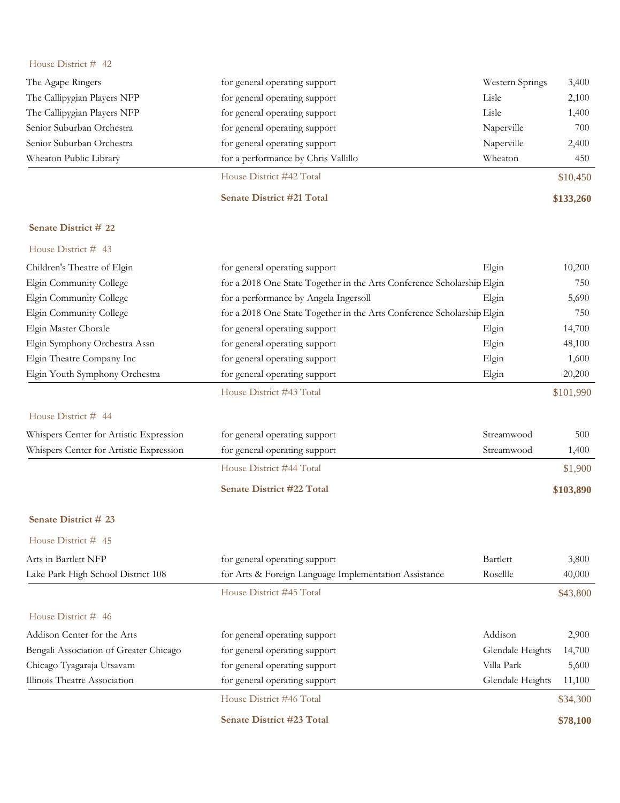| The Agape Ringers           | for general operating support       | Western Springs | 3,400     |
|-----------------------------|-------------------------------------|-----------------|-----------|
| The Callipygian Players NFP | for general operating support       | Lisle           | 2,100     |
| The Callipygian Players NFP | for general operating support       | Lisle           | 1,400     |
| Senior Suburban Orchestra   | for general operating support       | Naperville      | 700       |
| Senior Suburban Orchestra   | for general operating support       | Naperville      | 2,400     |
| Wheaton Public Library      | for a performance by Chris Vallillo | Wheaton         | 450       |
|                             | House District #42 Total            |                 | \$10,450  |
|                             | <b>Senate District #21 Total</b>    |                 | \$133,260 |

## **Senate District # 22**

| House District $#$ 43                   |                                                                        |            |           |
|-----------------------------------------|------------------------------------------------------------------------|------------|-----------|
| Children's Theatre of Elgin             | for general operating support                                          | Elgin      | 10,200    |
| Elgin Community College                 | for a 2018 One State Together in the Arts Conference Scholarship Elgin |            | 750       |
| Elgin Community College                 | for a performance by Angela Ingersoll                                  | Elgin      | 5,690     |
| Elgin Community College                 | for a 2018 One State Together in the Arts Conference Scholarship Elgin |            | 750       |
| Elgin Master Chorale                    | for general operating support                                          | Elgin      | 14,700    |
| Elgin Symphony Orchestra Assn           | for general operating support                                          | Elgin      | 48,100    |
| Elgin Theatre Company Inc               | for general operating support                                          | Elgin      | 1,600     |
| Elgin Youth Symphony Orchestra          | for general operating support                                          | Elgin      | 20,200    |
|                                         | House District #43 Total                                               |            | \$101,990 |
| House District # 44                     |                                                                        |            |           |
| Whispers Center for Artistic Expression | for general operating support                                          | Streamwood | 500       |
| Whispers Center for Artistic Expression | for general operating support                                          | Streamwood | 1,400     |
|                                         | House District #44 Total                                               |            | \$1,900   |

**Senate District #22 Total \$103,890**

#### **Senate District # 23**

| Arts in Bartlett NFP                   | for general operating support                         | Bartlett         | 3,800    |
|----------------------------------------|-------------------------------------------------------|------------------|----------|
| Lake Park High School District 108     | for Arts & Foreign Language Implementation Assistance | Rosellle         | 40,000   |
|                                        | House District #45 Total                              |                  | \$43,800 |
| House District # 46                    |                                                       |                  |          |
| Addison Center for the Arts            | for general operating support                         | Addison          | 2,900    |
| Bengali Association of Greater Chicago | for general operating support                         | Glendale Heights | 14,700   |
| Chicago Tyagaraja Utsavam              | for general operating support                         | Villa Park       | 5,600    |
| Illinois Theatre Association           | for general operating support                         | Glendale Heights | 11,100   |
|                                        | House District #46 Total                              |                  | \$34,300 |
|                                        | <b>Senate District #23 Total</b>                      |                  | \$78,100 |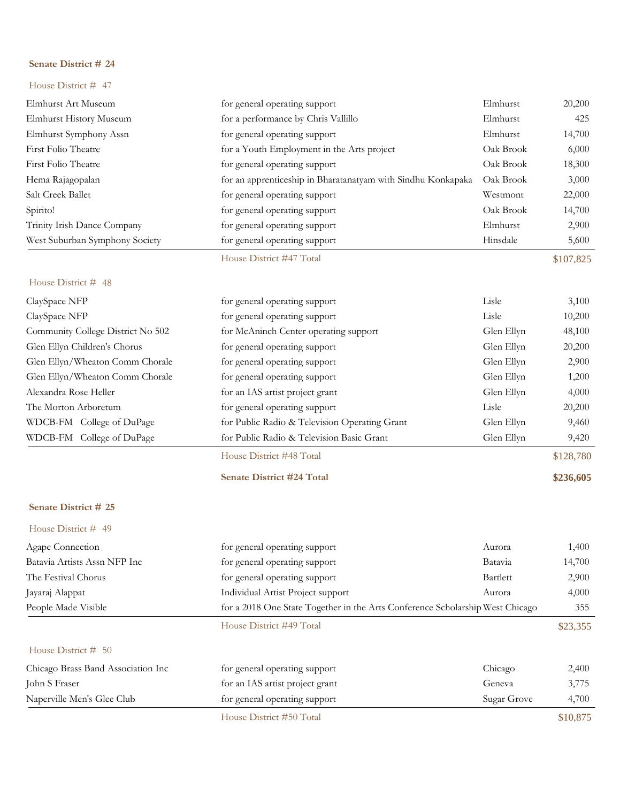#### House District # 47

| Elmhurst Art Museum               | for general operating support                                | Elmhurst   | 20,200    |
|-----------------------------------|--------------------------------------------------------------|------------|-----------|
| Elmhurst History Museum           | for a performance by Chris Vallillo                          | Elmhurst   | 425       |
| Elmhurst Symphony Assn            | for general operating support                                | Elmhurst   | 14,700    |
| First Folio Theatre               | for a Youth Employment in the Arts project                   | Oak Brook  | 6,000     |
| First Folio Theatre               | for general operating support                                | Oak Brook  | 18,300    |
| Hema Rajagopalan                  | for an apprenticeship in Bharatanatyam with Sindhu Konkapaka | Oak Brook  | 3,000     |
| Salt Creek Ballet                 | for general operating support                                | Westmont   | 22,000    |
| Spirito!                          | for general operating support                                | Oak Brook  | 14,700    |
| Trinity Irish Dance Company       | for general operating support                                | Elmhurst   | 2,900     |
| West Suburban Symphony Society    | for general operating support                                | Hinsdale   | 5,600     |
|                                   | House District #47 Total                                     |            | \$107,825 |
| House District # 48               |                                                              |            |           |
| ClaySpace NFP                     | for general operating support                                | Lisle      | 3,100     |
| ClaySpace NFP                     | for general operating support                                | Lisle      | 10,200    |
| Community College District No 502 | for McAninch Center operating support                        | Glen Ellyn | 48,100    |
| Glen Ellyn Children's Chorus      | for general operating support                                | Glen Ellyn | 20,200    |
| Glen Ellyn/Wheaton Comm Chorale   | for general operating support                                | Glen Ellyn | 2,900     |
| Glen Ellyn/Wheaton Comm Chorale   | for general operating support                                | Glen Ellyn | 1,200     |
| Alexandra Rose Heller             | for an IAS artist project grant                              | Glen Ellyn | 4,000     |
| The Morton Arboretum              | for general operating support                                | Lisle      | 20,200    |
| WDCB-FM College of DuPage         | for Public Radio & Television Operating Grant                | Glen Ellyn | 9,460     |
| WDCB-FM College of DuPage         | for Public Radio & Television Basic Grant                    | Glen Ellyn | 9,420     |
|                                   | House District #48 Total                                     |            | \$128,780 |
|                                   | <b>Senate District #24 Total</b>                             |            | \$236,605 |
|                                   |                                                              |            |           |

## **Senate District # 25**

| House District # 49                |                                                                               |             |          |
|------------------------------------|-------------------------------------------------------------------------------|-------------|----------|
| Agape Connection                   | for general operating support                                                 | Aurora      | 1,400    |
| Batavia Artists Assn NFP Inc       | for general operating support                                                 | Batavia     | 14,700   |
| The Festival Chorus                | for general operating support                                                 | Bartlett    | 2,900    |
| Jayaraj Alappat                    | Individual Artist Project support                                             | Aurora      | 4,000    |
| People Made Visible                | for a 2018 One State Together in the Arts Conference Scholarship West Chicago |             | 355      |
|                                    | House District #49 Total                                                      |             | \$23,355 |
| House District $# 50$              |                                                                               |             |          |
| Chicago Brass Band Association Inc | for general operating support                                                 | Chicago     | 2,400    |
| John S Fraser                      | for an IAS artist project grant                                               | Geneva      | 3,775    |
| Naperville Men's Glee Club         | for general operating support                                                 | Sugar Grove | 4,700    |
|                                    |                                                                               |             |          |

House District #50 Total \$10,875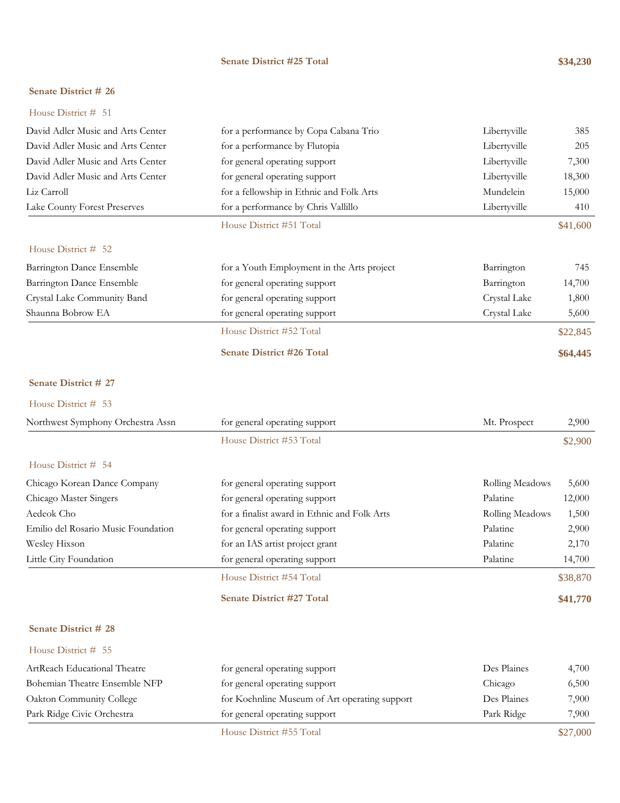#### **Senate District #25 Total \$34,230**

## **Senate District # 26**

House District # 51

| David Adler Music and Arts Center | for a performance by Copa Cabana Trio      | Libertyville | 385      |
|-----------------------------------|--------------------------------------------|--------------|----------|
| David Adler Music and Arts Center | for a performance by Flutopia              | Libertyville | 205      |
| David Adler Music and Arts Center | for general operating support              | Libertyville | 7,300    |
| David Adler Music and Arts Center | for general operating support              | Libertyville | 18,300   |
| Liz Carroll                       | for a fellowship in Ethnic and Folk Arts   | Mundelein    | 15,000   |
| Lake County Forest Preserves      | for a performance by Chris Vallillo        | Libertyville | 410      |
|                                   | House District #51 Total                   |              | \$41,600 |
| House District $#$ 52             |                                            |              |          |
| Barrington Dance Ensemble         | for a Youth Employment in the Arts project | Barrington   | 745      |
| Barrington Dance Ensemble         | for general operating support              | Barrington   | 14,700   |
| Crystal Lake Community Band       | for general operating support              | Crystal Lake | 1,800    |
| Shaunna Bobrow EA                 | for general operating support              | Crystal Lake | 5,600    |
|                                   | House District #52 Total                   |              | \$22,845 |
|                                   | <b>Senate District #26 Total</b>           |              | \$64,445 |
|                                   |                                            |              |          |

#### **Senate District # 27**

#### House District # 53

| Northwest Symphony Orchestra Assn   | for general operating support                | Mt. Prospect    | 2,900    |
|-------------------------------------|----------------------------------------------|-----------------|----------|
|                                     | House District #53 Total                     |                 | \$2,900  |
| House District # 54                 |                                              |                 |          |
| Chicago Korean Dance Company        | for general operating support                | Rolling Meadows | 5,600    |
| Chicago Master Singers              | for general operating support                | Palatine        | 12,000   |
| Aedeok Cho                          | for a finalist award in Ethnic and Folk Arts | Rolling Meadows | 1,500    |
| Emilio del Rosario Music Foundation | for general operating support                | Palatine        | 2,900    |
| Wesley Hixson                       | for an IAS artist project grant              | Palatine        | 2,170    |
| Little City Foundation              | for general operating support                | Palatine        | 14,700   |
|                                     | House District #54 Total                     |                 | \$38,870 |
|                                     | <b>Senate District #27 Total</b>             |                 | \$41,770 |

## **Senate District # 28**

| Park Ridge Civic Orchestra    | for general operating support                 | Park Ridge  | 7,900 |
|-------------------------------|-----------------------------------------------|-------------|-------|
| Oakton Community College      | for Koehnline Museum of Art operating support | Des Plaines | 7,900 |
| Bohemian Theatre Ensemble NFP | for general operating support                 | Chicago     | 6,500 |
| ArtReach Educational Theatre  | for general operating support                 | Des Plaines | 4,700 |
| House District # 55           |                                               |             |       |

House District #55 Total \$27,000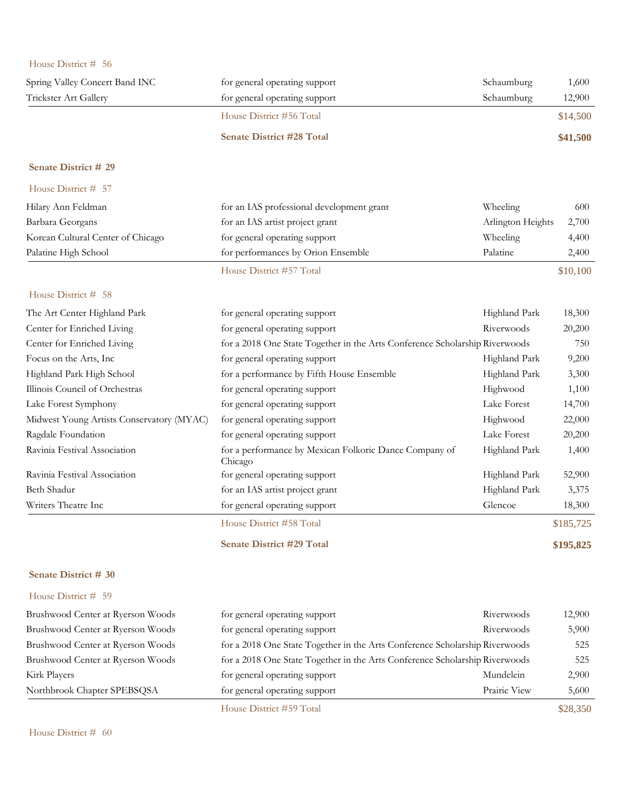| House District # 56                       |                                                                             |                   |           |
|-------------------------------------------|-----------------------------------------------------------------------------|-------------------|-----------|
| Spring Valley Concert Band INC            | for general operating support                                               | Schaumburg        | 1,600     |
| Trickster Art Gallery                     | for general operating support                                               | Schaumburg        | 12,900    |
|                                           | House District #56 Total                                                    |                   | \$14,500  |
|                                           | <b>Senate District #28 Total</b>                                            |                   | \$41,500  |
| Senate District # 29                      |                                                                             |                   |           |
| House District # 57                       |                                                                             |                   |           |
| Hilary Ann Feldman                        | for an IAS professional development grant                                   | Wheeling          | 600       |
| Barbara Georgans                          | for an IAS artist project grant                                             | Arlington Heights | 2,700     |
| Korean Cultural Center of Chicago         | for general operating support                                               | Wheeling          | 4,400     |
| Palatine High School                      | for performances by Orion Ensemble                                          | Palatine          | 2,400     |
|                                           | House District #57 Total                                                    |                   | \$10,100  |
| House District # 58                       |                                                                             |                   |           |
| The Art Center Highland Park              | for general operating support                                               | Highland Park     | 18,300    |
| Center for Enriched Living                | for general operating support                                               | Riverwoods        | 20,200    |
| Center for Enriched Living                | for a 2018 One State Together in the Arts Conference Scholarship Riverwoods |                   | 750       |
| Focus on the Arts, Inc                    | for general operating support                                               | Highland Park     | 9,200     |
| Highland Park High School                 | for a performance by Fifth House Ensemble                                   | Highland Park     | 3,300     |
| Illinois Council of Orchestras            | for general operating support                                               | Highwood          | 1,100     |
| Lake Forest Symphony                      | for general operating support                                               | Lake Forest       | 14,700    |
| Midwest Young Artists Conservatory (MYAC) | for general operating support                                               | Highwood          | 22,000    |
| Ragdale Foundation                        | for general operating support                                               | Lake Forest       | 20,200    |
| Ravinia Festival Association              | for a performance by Mexican Folkoric Dance Company of<br>Chicago           | Highland Park     | 1,400     |
| Ravinia Festival Association              | for general operating support                                               | Highland Park     | 52,900    |
| Beth Shadur                               | for an IAS artist project grant                                             | Highland Park     | 3,375     |
| Writers Theatre Inc                       | for general operating support                                               | Glencoe           | 18,300    |
|                                           | House District #58 Total                                                    |                   | \$185,725 |
|                                           | <b>Senate District #29 Total</b>                                            |                   | \$195,825 |
| Senate District # 30                      |                                                                             |                   |           |
| House District # 59                       |                                                                             |                   |           |
| Brushwood Center at Ryerson Woods         | for general operating support                                               | Riverwoods        | 12,900    |
| Brushwood Center at Ryerson Woods         | for general operating support                                               | Riverwoods        | 5,900     |
| Brushwood Center at Ryerson Woods         | for a 2018 One State Together in the Arts Conference Scholarship Riverwoods |                   | 525       |
| Brushwood Center at Ryerson Woods         | for a 2018 One State Together in the Arts Conference Scholarship Riverwoods |                   | 525       |
| Kirk Players                              | for general operating support                                               | Mundelein         | 2,900     |
| Northbrook Chapter SPEBSQSA               | for general operating support                                               | Prairie View      | 5,600     |

House District #59 Total \$28,350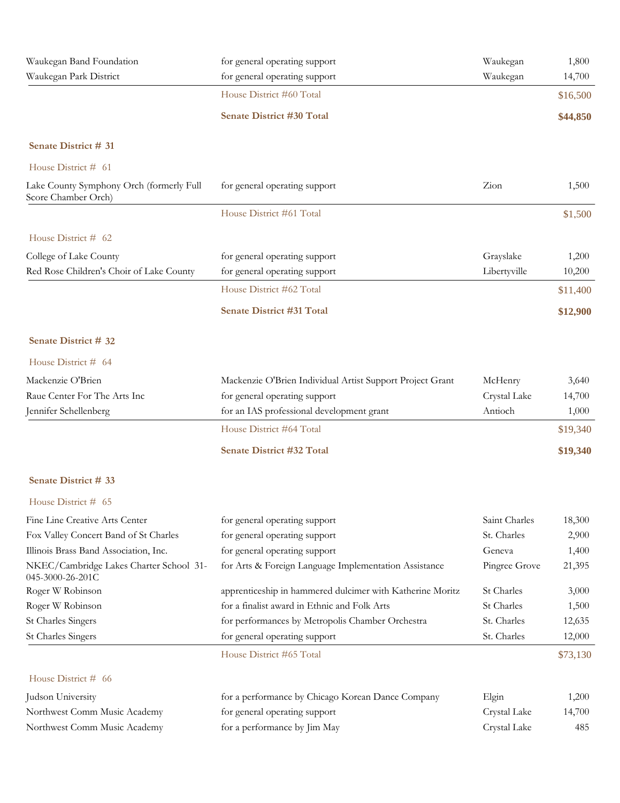| Waukegan Band Foundation                                        | for general operating support                             | Waukegan      | 1,800    |
|-----------------------------------------------------------------|-----------------------------------------------------------|---------------|----------|
| Waukegan Park District                                          | for general operating support                             | Waukegan      | 14,700   |
|                                                                 | House District #60 Total                                  |               | \$16,500 |
|                                                                 | <b>Senate District #30 Total</b>                          |               | \$44,850 |
| Senate District # 31                                            |                                                           |               |          |
| House District # 61                                             |                                                           |               |          |
| Lake County Symphony Orch (formerly Full<br>Score Chamber Orch) | for general operating support                             | Zion          | 1,500    |
|                                                                 | House District #61 Total                                  |               | \$1,500  |
| House District # 62                                             |                                                           |               |          |
| College of Lake County                                          | for general operating support                             | Grayslake     | 1,200    |
| Red Rose Children's Choir of Lake County                        | for general operating support                             | Libertyville  | 10,200   |
|                                                                 | House District #62 Total                                  |               | \$11,400 |
|                                                                 | Senate District #31 Total                                 |               | \$12,900 |
| Senate District # 32                                            |                                                           |               |          |
| House District # 64                                             |                                                           |               |          |
| Mackenzie O'Brien                                               | Mackenzie O'Brien Individual Artist Support Project Grant | McHenry       | 3,640    |
| Raue Center For The Arts Inc                                    | for general operating support                             | Crystal Lake  | 14,700   |
| Jennifer Schellenberg                                           | for an IAS professional development grant                 | Antioch       | 1,000    |
|                                                                 | House District #64 Total                                  |               | \$19,340 |
|                                                                 | <b>Senate District #32 Total</b>                          |               | \$19,340 |
| Senate District # 33                                            |                                                           |               |          |
| House District $#$ 65                                           |                                                           |               |          |
| Fine Line Creative Arts Center                                  | for general operating support                             | Saint Charles | 18,300   |
| Fox Valley Concert Band of St Charles                           | for general operating support                             | St. Charles   | 2,900    |
| Illinois Brass Band Association, Inc.                           | for general operating support                             | Geneva        | 1,400    |
| NKEC/Cambridge Lakes Charter School 31-<br>045-3000-26-201C     | for Arts & Foreign Language Implementation Assistance     | Pingree Grove | 21,395   |
| Roger W Robinson                                                | apprenticeship in hammered dulcimer with Katherine Moritz | St Charles    | 3,000    |
| Roger W Robinson                                                | for a finalist award in Ethnic and Folk Arts              | St Charles    | 1,500    |
| <b>St Charles Singers</b>                                       | for performances by Metropolis Chamber Orchestra          | St. Charles   | 12,635   |
| St Charles Singers                                              | for general operating support                             | St. Charles   | 12,000   |
|                                                                 | House District #65 Total                                  |               | \$73,130 |
| House District # 66                                             |                                                           |               |          |
| Judson University                                               | for a performance by Chicago Korean Dance Company         | Elgin         | 1,200    |
| Northwest Comm Music Academy                                    | for general operating support                             | Crystal Lake  | 14,700   |
| Northwest Comm Music Academy                                    | for a performance by Jim May                              | Crystal Lake  | 485      |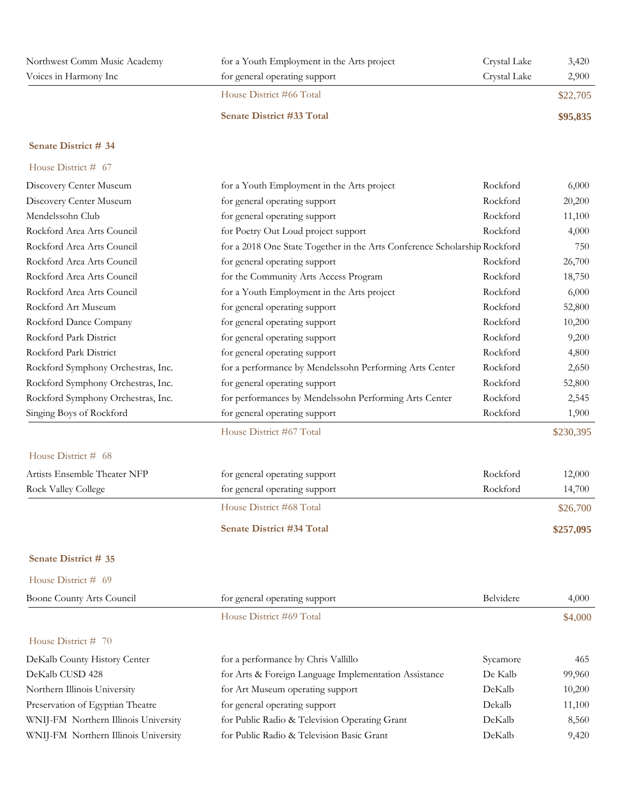| Northwest Comm Music Academy | for a Youth Employment in the Arts project | Crystal Lake | 3,420    |
|------------------------------|--------------------------------------------|--------------|----------|
| Voices in Harmony Inc        | for general operating support              | Crystal Lake | 2,900    |
|                              | House District #66 Total                   |              | \$22,705 |
|                              | <b>Senate District #33 Total</b>           |              | \$95,835 |

#### House District # 67

| Discovery Center Museum            | for a Youth Employment in the Arts project                                | Rockford | 6,000     |
|------------------------------------|---------------------------------------------------------------------------|----------|-----------|
| Discovery Center Museum            | for general operating support                                             | Rockford | 20,200    |
| Mendelssohn Club                   | for general operating support                                             | Rockford | 11,100    |
| Rockford Area Arts Council         | for Poetry Out Loud project support                                       | Rockford | 4,000     |
| Rockford Area Arts Council         | for a 2018 One State Together in the Arts Conference Scholarship Rockford |          | 750       |
| Rockford Area Arts Council         | for general operating support                                             | Rockford | 26,700    |
| Rockford Area Arts Council         | for the Community Arts Access Program                                     | Rockford | 18,750    |
| Rockford Area Arts Council         | for a Youth Employment in the Arts project                                | Rockford | 6,000     |
| Rockford Art Museum                | for general operating support                                             | Rockford | 52,800    |
| Rockford Dance Company             | for general operating support                                             | Rockford | 10,200    |
| Rockford Park District             | for general operating support                                             | Rockford | 9,200     |
| Rockford Park District             | for general operating support                                             | Rockford | 4,800     |
| Rockford Symphony Orchestras, Inc. | for a performance by Mendelssohn Performing Arts Center                   | Rockford | 2,650     |
| Rockford Symphony Orchestras, Inc. | for general operating support                                             | Rockford | 52,800    |
| Rockford Symphony Orchestras, Inc. | for performances by Mendelssohn Performing Arts Center                    | Rockford | 2,545     |
| Singing Boys of Rockford           | for general operating support                                             | Rockford | 1,900     |
|                                    | House District #67 Total                                                  |          | \$230,395 |
| House District # 68                |                                                                           |          |           |
| Artists Ensemble Theater NFP       | for general operating support                                             | Rockford | 12,000    |
| <b>Rock Valley College</b>         | for general operating support                                             | Rockford | 14,700    |
|                                    | House District #68 Total                                                  |          | \$26,700  |
|                                    | <b>Senate District #34 Total</b>                                          |          | \$257,095 |
| Senate District # 35               |                                                                           |          |           |

| Boone County Arts Council            | for general operating support                         | Belvidere | 4,000   |
|--------------------------------------|-------------------------------------------------------|-----------|---------|
|                                      | House District #69 Total                              |           | \$4,000 |
| House District $# 70$                |                                                       |           |         |
| DeKalb County History Center         | for a performance by Chris Vallillo                   | Sycamore  | 465     |
| DeKalb CUSD 428                      | for Arts & Foreign Language Implementation Assistance | De Kalb   | 99,960  |
| Northern Illinois University         | for Art Museum operating support                      | DeKalb    | 10,200  |
| Preservation of Egyptian Theatre     | for general operating support                         | Dekalb    | 11,100  |
| WNIJ-FM Northern Illinois University | for Public Radio & Television Operating Grant         | DeKalb    | 8,560   |
| WNIJ-FM Northern Illinois University | for Public Radio & Television Basic Grant             | DeKalb    | 9,420   |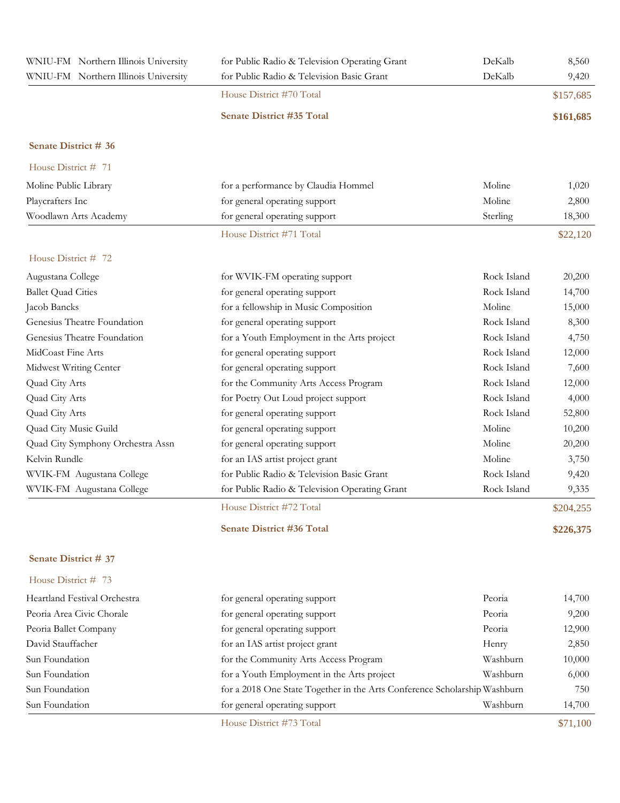| WNIU-FM Northern Illinois University | for Public Radio & Television Operating Grant                             | DeKalb      | 8,560     |
|--------------------------------------|---------------------------------------------------------------------------|-------------|-----------|
| WNIU-FM Northern Illinois University | for Public Radio & Television Basic Grant                                 | DeKalb      | 9,420     |
|                                      | House District #70 Total                                                  |             | \$157,685 |
|                                      | <b>Senate District #35 Total</b>                                          |             | \$161,685 |
| Senate District # 36                 |                                                                           |             |           |
| House District # 71                  |                                                                           |             |           |
| Moline Public Library                | for a performance by Claudia Hommel                                       | Moline      | 1,020     |
| Playcrafters Inc                     | for general operating support                                             | Moline      | 2,800     |
| Woodlawn Arts Academy                | for general operating support                                             | Sterling    | 18,300    |
|                                      | House District #71 Total                                                  |             | \$22,120  |
| House District # 72                  |                                                                           |             |           |
| Augustana College                    | for WVIK-FM operating support                                             | Rock Island | 20,200    |
| <b>Ballet Quad Cities</b>            | for general operating support                                             | Rock Island | 14,700    |
| Jacob Bancks                         | for a fellowship in Music Composition                                     | Moline      | 15,000    |
| Genesius Theatre Foundation          | for general operating support                                             | Rock Island | 8,300     |
| Genesius Theatre Foundation          | for a Youth Employment in the Arts project                                | Rock Island | 4,750     |
| MidCoast Fine Arts                   | for general operating support                                             | Rock Island | 12,000    |
| Midwest Writing Center               | for general operating support                                             | Rock Island | 7,600     |
| Quad City Arts                       | for the Community Arts Access Program                                     | Rock Island | 12,000    |
| Quad City Arts                       | for Poetry Out Loud project support                                       | Rock Island | 4,000     |
| Quad City Arts                       | for general operating support                                             | Rock Island | 52,800    |
| Quad City Music Guild                | for general operating support                                             | Moline      | 10,200    |
| Quad City Symphony Orchestra Assn    | for general operating support                                             | Moline      | 20,200    |
| Kelvin Rundle                        | for an IAS artist project grant                                           | Moline      | 3,750     |
| WVIK-FM Augustana College            | for Public Radio & Television Basic Grant                                 | Rock Island | 9,420     |
| WVIK-FM Augustana College            | for Public Radio & Television Operating Grant                             | Rock Island | 9,335     |
|                                      | House District #72 Total                                                  |             | \$204,255 |
|                                      | <b>Senate District #36 Total</b>                                          |             | \$226,375 |
| Senate District # 37                 |                                                                           |             |           |
| House District # 73                  |                                                                           |             |           |
| Heartland Festival Orchestra         | for general operating support                                             | Peoria      | 14,700    |
| Peoria Area Civic Chorale            | for general operating support                                             | Peoria      | 9,200     |
| Peoria Ballet Company                | for general operating support                                             | Peoria      | 12,900    |
| David Stauffacher                    | for an IAS artist project grant                                           | Henry       | 2,850     |
| Sun Foundation                       | for the Community Arts Access Program                                     | Washburn    | 10,000    |
| Sun Foundation                       | for a Youth Employment in the Arts project                                | Washburn    | 6,000     |
| Sun Foundation                       | for a 2018 One State Together in the Arts Conference Scholarship Washburn |             | 750       |
| Sun Foundation                       | for general operating support                                             | Washburn    | 14,700    |

House District #73 Total \$71,100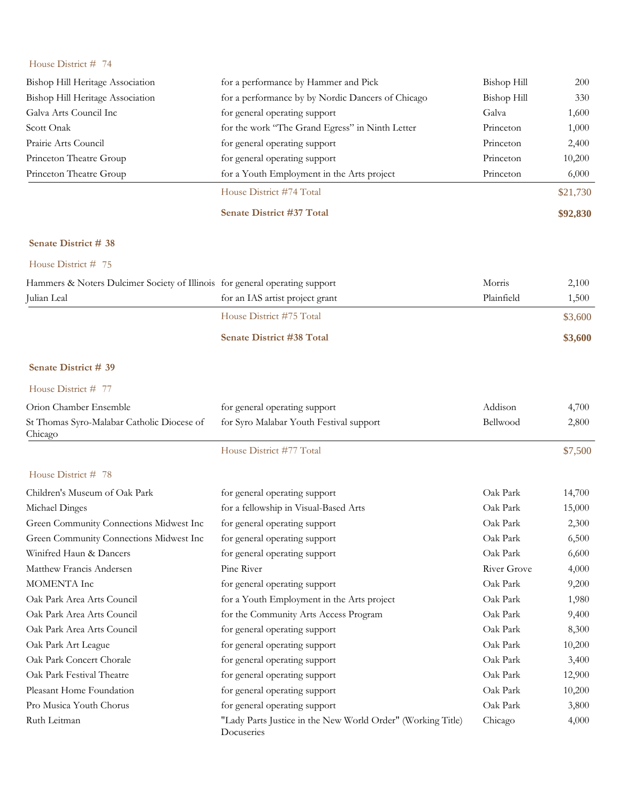| House District # 74                                                         |                                                             |                    |          |
|-----------------------------------------------------------------------------|-------------------------------------------------------------|--------------------|----------|
| Bishop Hill Heritage Association                                            | for a performance by Hammer and Pick                        | <b>Bishop Hill</b> | 200      |
| Bishop Hill Heritage Association                                            | for a performance by by Nordic Dancers of Chicago           | <b>Bishop Hill</b> | 330      |
| Galva Arts Council Inc                                                      | for general operating support                               | Galva              | 1,600    |
| Scott Onak                                                                  | for the work "The Grand Egress" in Ninth Letter             | Princeton          | 1,000    |
| Prairie Arts Council                                                        | for general operating support                               | Princeton          | 2,400    |
| Princeton Theatre Group                                                     | for general operating support                               | Princeton          | 10,200   |
| Princeton Theatre Group                                                     | for a Youth Employment in the Arts project                  | Princeton          | 6,000    |
|                                                                             | House District #74 Total                                    |                    | \$21,730 |
|                                                                             | Senate District #37 Total                                   |                    | \$92,830 |
| Senate District # 38                                                        |                                                             |                    |          |
| House District # 75                                                         |                                                             |                    |          |
| Hammers & Noters Dulcimer Society of Illinois for general operating support |                                                             | Morris             | 2,100    |
| Julian Leal                                                                 | for an IAS artist project grant                             | Plainfield         | 1,500    |
|                                                                             | House District #75 Total                                    |                    | \$3,600  |
|                                                                             | <b>Senate District #38 Total</b>                            |                    | \$3,600  |
| Senate District # 39                                                        |                                                             |                    |          |
| House District # 77                                                         |                                                             |                    |          |
| Orion Chamber Ensemble                                                      | for general operating support                               | Addison            | 4,700    |
| St Thomas Syro-Malabar Catholic Diocese of<br>Chicago                       | for Syro Malabar Youth Festival support                     | Bellwood           | 2,800    |
|                                                                             | House District #77 Total                                    |                    | \$7,500  |
| House District # 78                                                         |                                                             |                    |          |
| Children's Museum of Oak Park                                               | for general operating support                               | Oak Park           | 14,700   |
| Michael Dinges                                                              | for a fellowship in Visual-Based Arts                       | Oak Park           | 15,000   |
| Green Community Connections Midwest Inc                                     | for general operating support                               | Oak Park           | 2,300    |
| Green Community Connections Midwest Inc                                     | for general operating support                               | Oak Park           | 6,500    |
| Winifred Haun & Dancers                                                     | for general operating support                               | Oak Park           | 6,600    |
| Matthew Francis Andersen                                                    | Pine River                                                  | <b>River Grove</b> | 4,000    |
| MOMENTA Inc                                                                 | for general operating support                               | Oak Park           | 9,200    |
| Oak Park Area Arts Council                                                  | for a Youth Employment in the Arts project                  | Oak Park           | 1,980    |
| Oak Park Area Arts Council                                                  | for the Community Arts Access Program                       | Oak Park           | 9,400    |
| Oak Park Area Arts Council                                                  | for general operating support                               | Oak Park           | 8,300    |
| Oak Park Art League                                                         | for general operating support                               | Oak Park           | 10,200   |
| Oak Park Concert Chorale                                                    | for general operating support                               | Oak Park           | 3,400    |
| Oak Park Festival Theatre                                                   | for general operating support                               | Oak Park           | 12,900   |
| Pleasant Home Foundation                                                    | for general operating support                               | Oak Park           | 10,200   |
| Pro Musica Youth Chorus                                                     | for general operating support                               | Oak Park           | 3,800    |
| Ruth Leitman                                                                | "Lady Parts Justice in the New World Order" (Working Title) | Chicago            | 4,000    |

Docuseries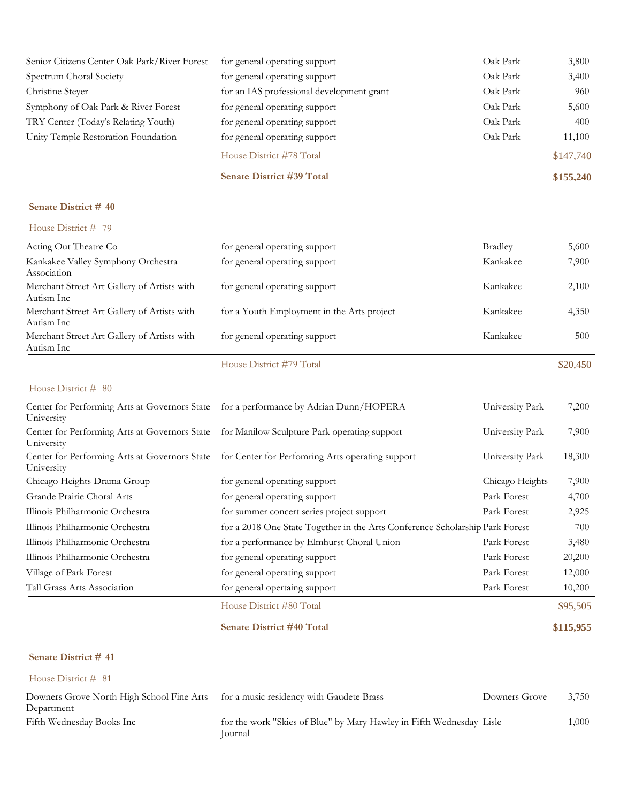| Senior Citizens Center Oak Park/River Forest                | for general operating support                                                | Oak Park        | 3,800     |
|-------------------------------------------------------------|------------------------------------------------------------------------------|-----------------|-----------|
| Spectrum Choral Society                                     | for general operating support                                                | Oak Park        | 3,400     |
| Christine Steyer                                            | for an IAS professional development grant                                    | Oak Park        | 960       |
| Symphony of Oak Park & River Forest                         | for general operating support                                                | Oak Park        | 5,600     |
| TRY Center (Today's Relating Youth)                         | for general operating support                                                | Oak Park        | 400       |
| Unity Temple Restoration Foundation                         | for general operating support                                                | Oak Park        | 11,100    |
|                                                             | House District #78 Total                                                     |                 | \$147,740 |
|                                                             | Senate District #39 Total                                                    |                 | \$155,240 |
| Senate District #40                                         |                                                                              |                 |           |
| House District # 79                                         |                                                                              |                 |           |
| Acting Out Theatre Co                                       | for general operating support                                                | <b>Bradley</b>  | 5,600     |
| Kankakee Valley Symphony Orchestra<br>Association           | for general operating support                                                | Kankakee        | 7,900     |
| Merchant Street Art Gallery of Artists with<br>Autism Inc   | for general operating support                                                | Kankakee        | 2,100     |
| Merchant Street Art Gallery of Artists with<br>Autism Inc   | for a Youth Employment in the Arts project                                   | Kankakee        | 4,350     |
| Merchant Street Art Gallery of Artists with<br>Autism Inc   | for general operating support                                                | Kankakee        | 500       |
|                                                             | House District #79 Total                                                     |                 | \$20,450  |
| House District # 80                                         |                                                                              |                 |           |
| Center for Performing Arts at Governors State<br>University | for a performance by Adrian Dunn/HOPERA                                      | University Park | 7,200     |
| Center for Performing Arts at Governors State<br>University | for Manilow Sculpture Park operating support                                 | University Park | 7,900     |
| Center for Performing Arts at Governors State<br>University | for Center for Perfomring Arts operating support                             | University Park | 18,300    |
| Chicago Heights Drama Group                                 | for general operating support                                                | Chicago Heights | 7,900     |
| Grande Prairie Choral Arts                                  | for general operating support                                                | Park Forest     | 4,700     |
| Illinois Philharmonic Orchestra                             | for summer concert series project support                                    | Park Forest     | 2,925     |
| Illinois Philharmonic Orchestra                             | for a 2018 One State Together in the Arts Conference Scholarship Park Forest |                 | 700       |
| Illinois Philharmonic Orchestra                             | for a performance by Elmhurst Choral Union                                   | Park Forest     | 3,480     |
| Illinois Philharmonic Orchestra                             | for general operating support                                                | Park Forest     | 20,200    |
| Village of Park Forest                                      | for general operating support                                                | Park Forest     | 12,000    |
| Tall Grass Arts Association                                 | for general opertaing support                                                | Park Forest     | 10,200    |
|                                                             | House District #80 Total                                                     |                 | \$95,505  |
|                                                             | <b>Senate District #40 Total</b>                                             |                 | \$115,955 |

House District # 81 Downers Grove North High School Fine Arts for a music residency with Gaudete Brass Downers Grove 3,750 Department for a music residency with Gaudete Brass Fifth Wednesday Books Inc for the work "Skies of Blue" by Mary Hawley in Fifth Wednesday Lisle 1,000 Journal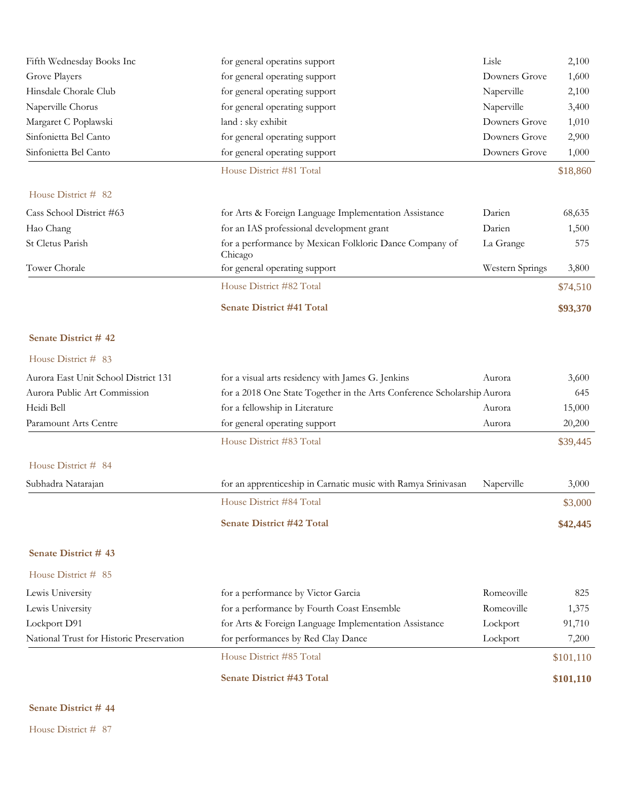| Fifth Wednesday Books Inc                | for general operatins support                                           | Lisle           | 2,100     |
|------------------------------------------|-------------------------------------------------------------------------|-----------------|-----------|
| Grove Players                            | for general operating support                                           | Downers Grove   | 1,600     |
| Hinsdale Chorale Club                    | for general operating support                                           | Naperville      | 2,100     |
| Naperville Chorus                        | for general operating support                                           | Naperville      | 3,400     |
| Margaret C Poplawski                     | land : sky exhibit                                                      | Downers Grove   | 1,010     |
| Sinfonietta Bel Canto                    | for general operating support                                           | Downers Grove   | 2,900     |
| Sinfonietta Bel Canto                    | for general operating support                                           | Downers Grove   | 1,000     |
|                                          | House District #81 Total                                                |                 | \$18,860  |
| House District # 82                      |                                                                         |                 |           |
| Cass School District #63                 | for Arts & Foreign Language Implementation Assistance                   | Darien          | 68,635    |
| Hao Chang                                | for an IAS professional development grant                               | Darien          | 1,500     |
| St Cletus Parish                         | for a performance by Mexican Folkloric Dance Company of<br>Chicago      | La Grange       | 575       |
| Tower Chorale                            | for general operating support                                           | Western Springs | 3,800     |
|                                          | House District #82 Total                                                |                 | \$74,510  |
|                                          | <b>Senate District #41 Total</b>                                        |                 | \$93,370  |
| Senate District #42                      |                                                                         |                 |           |
| House District # 83                      |                                                                         |                 |           |
| Aurora East Unit School District 131     | for a visual arts residency with James G. Jenkins                       | Aurora          | 3,600     |
| Aurora Public Art Commission             | for a 2018 One State Together in the Arts Conference Scholarship Aurora |                 | 645       |
| Heidi Bell                               | for a fellowship in Literature                                          | Aurora          | 15,000    |
| Paramount Arts Centre                    | for general operating support                                           | Aurora          | 20,200    |
|                                          | House District #83 Total                                                |                 | \$39,445  |
| House District # 84                      |                                                                         |                 |           |
| Subhadra Natarajan                       | for an apprenticeship in Carnatic music with Ramya Srinivasan           | Naperville      | 3,000     |
|                                          | House District #84 Total                                                |                 | \$3,000   |
|                                          | <b>Senate District #42 Total</b>                                        |                 | \$42,445  |
| Senate District #43                      |                                                                         |                 |           |
| House District # 85                      |                                                                         |                 |           |
| Lewis University                         | for a performance by Victor Garcia                                      | Romeoville      | 825       |
| Lewis University                         | for a performance by Fourth Coast Ensemble                              | Romeoville      | 1,375     |
| Lockport D91                             | for Arts & Foreign Language Implementation Assistance                   | Lockport        | 91,710    |
| National Trust for Historic Preservation | for performances by Red Clay Dance                                      | Lockport        | 7,200     |
|                                          | House District #85 Total                                                |                 | \$101,110 |
|                                          | <b>Senate District #43 Total</b>                                        |                 | \$101,110 |
|                                          |                                                                         |                 |           |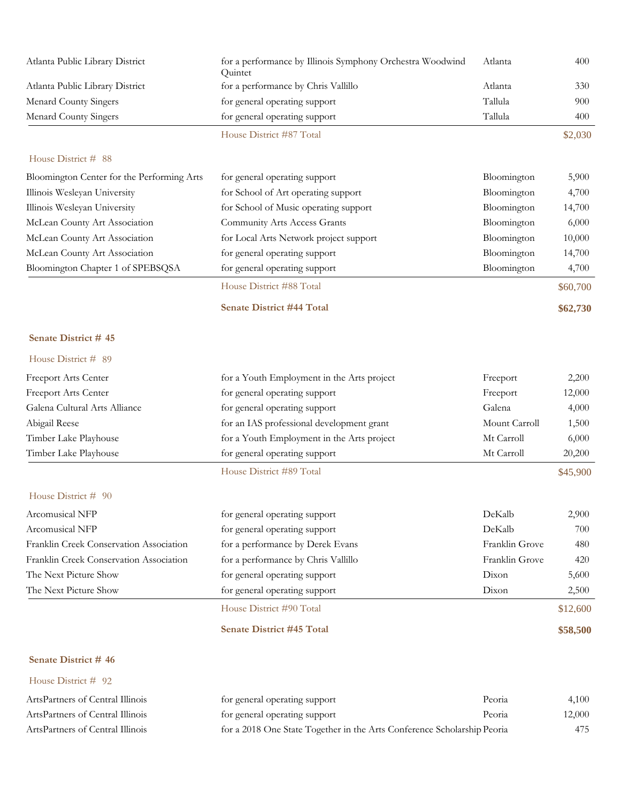| Atlanta Public Library District            | for a performance by Illinois Symphony Orchestra Woodwind<br>Quintet | Atlanta        | 400      |
|--------------------------------------------|----------------------------------------------------------------------|----------------|----------|
| Atlanta Public Library District            | for a performance by Chris Vallillo                                  | Atlanta        | 330      |
| Menard County Singers                      | for general operating support                                        | Tallula        | 900      |
| <b>Menard County Singers</b>               | for general operating support                                        | Tallula        | 400      |
|                                            | House District #87 Total                                             |                | \$2,030  |
| House District # 88                        |                                                                      |                |          |
| Bloomington Center for the Performing Arts | for general operating support                                        | Bloomington    | 5,900    |
| Illinois Wesleyan University               | for School of Art operating support                                  | Bloomington    | 4,700    |
| Illinois Wesleyan University               | for School of Music operating support                                | Bloomington    | 14,700   |
| McLean County Art Association              | Community Arts Access Grants                                         | Bloomington    | 6,000    |
| McLean County Art Association              | for Local Arts Network project support                               | Bloomington    | 10,000   |
| McLean County Art Association              | for general operating support                                        | Bloomington    | 14,700   |
| Bloomington Chapter 1 of SPEBSQSA          | for general operating support                                        | Bloomington    | 4,700    |
|                                            | House District #88 Total                                             |                | \$60,700 |
|                                            | <b>Senate District #44 Total</b>                                     |                | \$62,730 |
| Senate District #45                        |                                                                      |                |          |
| House District # 89                        |                                                                      |                |          |
| Freeport Arts Center                       | for a Youth Employment in the Arts project                           | Freeport       | 2,200    |
| Freeport Arts Center                       | for general operating support                                        | Freeport       | 12,000   |
| Galena Cultural Arts Alliance              | for general operating support                                        | Galena         | 4,000    |
| Abigail Reese                              | for an IAS professional development grant                            | Mount Carroll  | 1,500    |
| Timber Lake Playhouse                      | for a Youth Employment in the Arts project                           | Mt Carroll     | 6,000    |
| Timber Lake Playhouse                      | for general operating support                                        | Mt Carroll     | 20,200   |
|                                            | House District #89 Total                                             |                | \$45,900 |
| House District # 90                        |                                                                      |                |          |
| Arcomusical NFP                            | for general operating support                                        | DeKalb         | 2,900    |
| Arcomusical NFP                            | for general operating support                                        | DeKalb         | 700      |
| Franklin Creek Conservation Association    | for a performance by Derek Evans                                     | Franklin Grove | 480      |
| Franklin Creek Conservation Association    | for a performance by Chris Vallillo                                  | Franklin Grove | 420      |
| The Next Picture Show                      | for general operating support                                        | Dixon          | 5,600    |
| The Next Picture Show                      | for general operating support                                        | Dixon          | 2,500    |
|                                            | House District #90 Total                                             |                | \$12,600 |
|                                            | <b>Senate District #45 Total</b>                                     |                | \$58,500 |
| Senate District #46                        |                                                                      |                |          |

| ArtsPartners of Central Illinois | for general operating support                                           | Peoria | 4.100  |
|----------------------------------|-------------------------------------------------------------------------|--------|--------|
| ArtsPartners of Central Illinois | for general operating support                                           | Peoria | 12,000 |
| ArtsPartners of Central Illinois | for a 2018 One State Together in the Arts Conference Scholarship Peoria |        | 475    |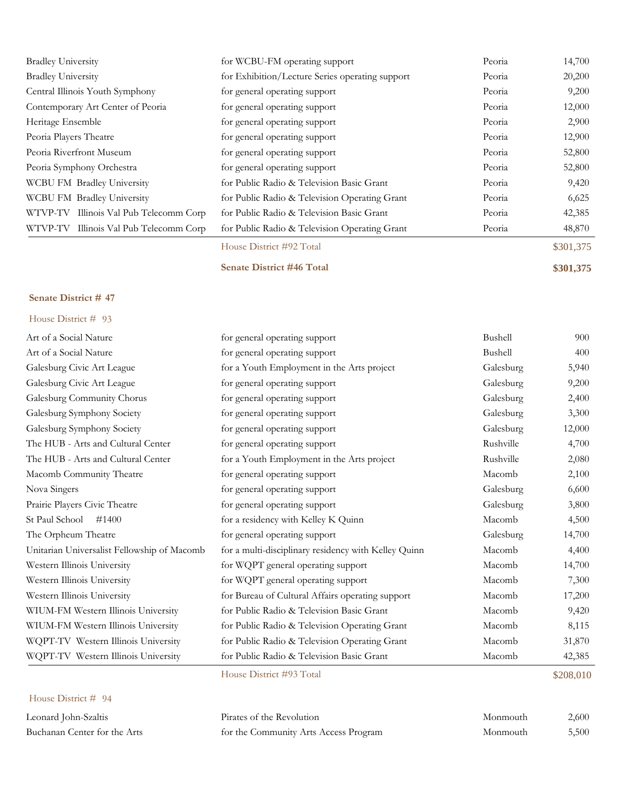| <b>Bradley University</b>              | for WCBU-FM operating support                   | Peoria | 14,700    |
|----------------------------------------|-------------------------------------------------|--------|-----------|
| <b>Bradley University</b>              | for Exhibition/Lecture Series operating support | Peoria | 20,200    |
| Central Illinois Youth Symphony        | for general operating support                   | Peoria | 9,200     |
| Contemporary Art Center of Peoria      | for general operating support                   | Peoria | 12,000    |
| Heritage Ensemble                      | for general operating support                   | Peoria | 2,900     |
| Peoria Players Theatre                 | for general operating support                   | Peoria | 12,900    |
| Peoria Riverfront Museum               | for general operating support                   | Peoria | 52,800    |
| Peoria Symphony Orchestra              | for general operating support                   | Peoria | 52,800    |
| WCBU FM Bradley University             | for Public Radio & Television Basic Grant       | Peoria | 9,420     |
| WCBU FM Bradley University             | for Public Radio & Television Operating Grant   | Peoria | 6,625     |
| WTVP-TV Illinois Val Pub Telecomm Corp | for Public Radio & Television Basic Grant       | Peoria | 42,385    |
| WTVP-TV Illinois Val Pub Telecomm Corp | for Public Radio & Television Operating Grant   | Peoria | 48,870    |
|                                        | House District #92 Total                        |        | \$301,375 |

## **Senate District #46 Total \$301,375**

#### **Senate District # 47**

| House District # 93                         |                                                      |           |           |
|---------------------------------------------|------------------------------------------------------|-----------|-----------|
| Art of a Social Nature                      | for general operating support                        | Bushell   | 900       |
| Art of a Social Nature                      | for general operating support                        | Bushell   | 400       |
| Galesburg Civic Art League                  | for a Youth Employment in the Arts project           | Galesburg | 5,940     |
| Galesburg Civic Art League                  | for general operating support                        | Galesburg | 9,200     |
| Galesburg Community Chorus                  | for general operating support                        | Galesburg | 2,400     |
| Galesburg Symphony Society                  | for general operating support                        | Galesburg | 3,300     |
| Galesburg Symphony Society                  | for general operating support                        | Galesburg | 12,000    |
| The HUB - Arts and Cultural Center          | for general operating support                        | Rushville | 4,700     |
| The HUB - Arts and Cultural Center          | for a Youth Employment in the Arts project           | Rushville | 2,080     |
| Macomb Community Theatre                    | for general operating support                        | Macomb    | 2,100     |
| Nova Singers                                | for general operating support                        | Galesburg | 6,600     |
| Prairie Players Civic Theatre               | for general operating support                        | Galesburg | 3,800     |
| St Paul School<br>#1400                     | for a residency with Kelley K Quinn                  | Macomb    | 4,500     |
| The Orpheum Theatre                         | for general operating support                        | Galesburg | 14,700    |
| Unitarian Universalist Fellowship of Macomb | for a multi-disciplinary residency with Kelley Quinn | Macomb    | 4,400     |
| Western Illinois University                 | for WQPT general operating support                   | Macomb    | 14,700    |
| Western Illinois University                 | for WQPT general operating support                   | Macomb    | 7,300     |
| Western Illinois University                 | for Bureau of Cultural Affairs operating support     | Macomb    | 17,200    |
| WIUM-FM Western Illinois University         | for Public Radio & Television Basic Grant            | Macomb    | 9,420     |
| WIUM-FM Western Illinois University         | for Public Radio & Television Operating Grant        | Macomb    | 8,115     |
| WQPT-TV Western Illinois University         | for Public Radio & Television Operating Grant        | Macomb    | 31,870    |
| WQPT-TV Western Illinois University         | for Public Radio & Television Basic Grant            | Macomb    | 42,385    |
|                                             | House District #93 Total                             |           | \$208,010 |

## House District # 94

Leonard John-Szaltis Buchanan Center for the Arts

| Pirates of the Revolution             | Monmouth | 2,600 |
|---------------------------------------|----------|-------|
| for the Community Arts Access Program | Monmouth | 5,500 |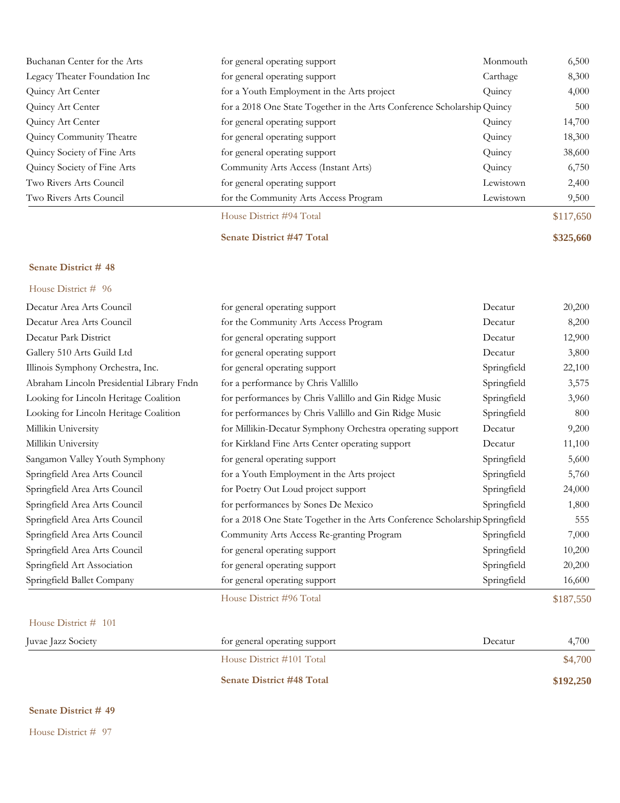| Buchanan Center for the Arts  | for general operating support                                           | Monmouth  | 6,500     |
|-------------------------------|-------------------------------------------------------------------------|-----------|-----------|
| Legacy Theater Foundation Inc | for general operating support                                           | Carthage  | 8,300     |
| Quincy Art Center             | for a Youth Employment in the Arts project                              | Quincy    | 4,000     |
| Quincy Art Center             | for a 2018 One State Together in the Arts Conference Scholarship Quincy |           | 500       |
| Quincy Art Center             | for general operating support                                           | Quincy    | 14,700    |
| Quincy Community Theatre      | for general operating support                                           | Quincy    | 18,300    |
| Quincy Society of Fine Arts   | for general operating support                                           | Quincy    | 38,600    |
| Quincy Society of Fine Arts   | Community Arts Access (Instant Arts)                                    | Quincy    | 6,750     |
| Two Rivers Arts Council       | for general operating support                                           | Lewistown | 2,400     |
| Two Rivers Arts Council       | for the Community Arts Access Program                                   | Lewistown | 9,500     |
|                               | House District #94 Total                                                |           | \$117,650 |
|                               | <b>Senate District #47 Total</b>                                        |           | \$325,660 |

## House District # 96

| Decatur Area Arts Council                 | for general operating support                                                | Decatur     | 20,200    |
|-------------------------------------------|------------------------------------------------------------------------------|-------------|-----------|
| Decatur Area Arts Council                 | for the Community Arts Access Program                                        | Decatur     | 8,200     |
| Decatur Park District                     | for general operating support                                                | Decatur     | 12,900    |
| Gallery 510 Arts Guild Ltd                | for general operating support                                                | Decatur     | 3,800     |
| Illinois Symphony Orchestra, Inc.         | for general operating support                                                | Springfield | 22,100    |
| Abraham Lincoln Presidential Library Fndn | for a performance by Chris Vallillo                                          | Springfield | 3,575     |
| Looking for Lincoln Heritage Coalition    | for performances by Chris Vallillo and Gin Ridge Music                       | Springfield | 3,960     |
| Looking for Lincoln Heritage Coalition    | for performances by Chris Vallillo and Gin Ridge Music                       | Springfield | 800       |
| Millikin University                       | for Millikin-Decatur Symphony Orchestra operating support                    | Decatur     | 9,200     |
| Millikin University                       | for Kirkland Fine Arts Center operating support                              | Decatur     | 11,100    |
| Sangamon Valley Youth Symphony            | for general operating support                                                | Springfield | 5,600     |
| Springfield Area Arts Council             | for a Youth Employment in the Arts project                                   | Springfield | 5,760     |
| Springfield Area Arts Council             | for Poetry Out Loud project support                                          | Springfield | 24,000    |
| Springfield Area Arts Council             | for performances by Sones De Mexico                                          | Springfield | 1,800     |
| Springfield Area Arts Council             | for a 2018 One State Together in the Arts Conference Scholarship Springfield |             | 555       |
| Springfield Area Arts Council             | Community Arts Access Re-granting Program                                    | Springfield | 7,000     |
| Springfield Area Arts Council             | for general operating support                                                | Springfield | 10,200    |
| Springfield Art Association               | for general operating support                                                | Springfield | 20,200    |
| Springfield Ballet Company                | for general operating support                                                | Springfield | 16,600    |
|                                           | House District #96 Total                                                     |             | \$187,550 |
| House District # 101                      |                                                                              |             |           |

| Juvae Jazz Society | for general operating support    | 4,700<br>Decatur |
|--------------------|----------------------------------|------------------|
|                    | House District #101 Total        | \$4,700          |
|                    | <b>Senate District #48 Total</b> | \$192,250        |

#### **Senate District # 49**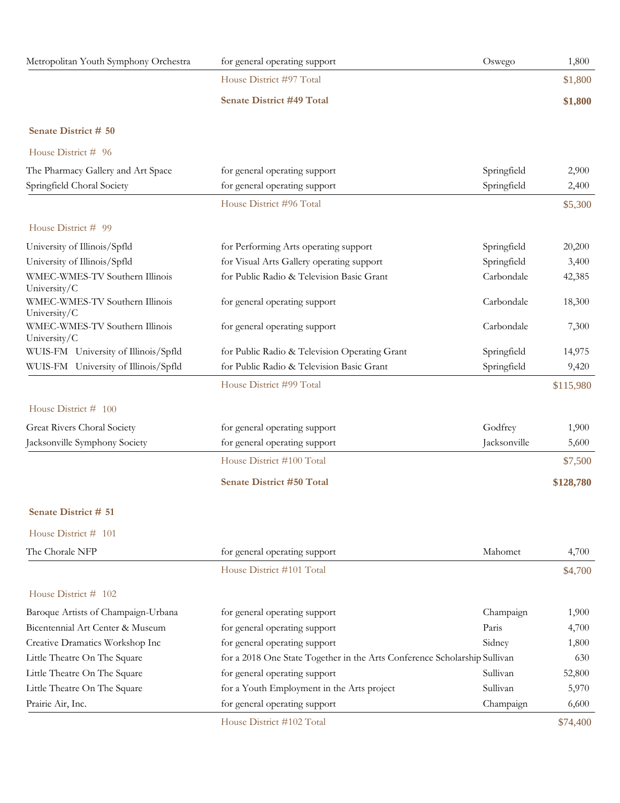| Metropolitan Youth Symphony Orchestra                            | for general operating support                                                      | Oswego                     | 1,800          |
|------------------------------------------------------------------|------------------------------------------------------------------------------------|----------------------------|----------------|
|                                                                  | House District #97 Total                                                           |                            | \$1,800        |
|                                                                  | <b>Senate District #49 Total</b>                                                   |                            | \$1,800        |
| Senate District # 50                                             |                                                                                    |                            |                |
| House District # 96                                              |                                                                                    |                            |                |
| The Pharmacy Gallery and Art Space<br>Springfield Choral Society | for general operating support<br>for general operating support                     | Springfield<br>Springfield | 2,900<br>2,400 |
|                                                                  | House District #96 Total                                                           |                            | \$5,300        |
| House District # 99                                              |                                                                                    |                            |                |
| University of Illinois/Spfld                                     |                                                                                    |                            | 20,200         |
| University of Illinois/Spfld                                     | for Performing Arts operating support<br>for Visual Arts Gallery operating support | Springfield<br>Springfield | 3,400          |
| WMEC-WMES-TV Southern Illinois                                   | for Public Radio & Television Basic Grant                                          | Carbondale                 | 42,385         |
| University/C                                                     |                                                                                    |                            |                |
| WMEC-WMES-TV Southern Illinois<br>University/C                   | for general operating support                                                      | Carbondale                 | 18,300         |
| WMEC-WMES-TV Southern Illinois<br>University/C                   | for general operating support                                                      | Carbondale                 | 7,300          |
| WUIS-FM University of Illinois/Spfld                             | for Public Radio & Television Operating Grant                                      | Springfield                | 14,975         |
| WUIS-FM University of Illinois/Spfld                             | for Public Radio & Television Basic Grant                                          | Springfield                | 9,420          |
|                                                                  | House District #99 Total                                                           |                            | \$115,980      |
| House District # 100                                             |                                                                                    |                            |                |
| Great Rivers Choral Society                                      | for general operating support                                                      | Godfrey                    | 1,900          |
| Jacksonville Symphony Society                                    | for general operating support                                                      | Jacksonville               | 5,600          |
|                                                                  | House District #100 Total                                                          |                            | \$7,500        |
|                                                                  | <b>Senate District #50 Total</b>                                                   |                            | \$128,780      |
| Senate District # 51                                             |                                                                                    |                            |                |
| House District # 101                                             |                                                                                    |                            |                |
| The Chorale NFP                                                  | for general operating support                                                      | Mahomet                    | 4,700          |
|                                                                  | House District #101 Total                                                          |                            | \$4,700        |
| House District # 102                                             |                                                                                    |                            |                |
| Baroque Artists of Champaign-Urbana                              | for general operating support                                                      | Champaign                  | 1,900          |
| Bicentennial Art Center & Museum                                 | for general operating support                                                      | Paris                      | 4,700          |
| Creative Dramatics Workshop Inc                                  | for general operating support                                                      | Sidney                     | 1,800          |
| Little Theatre On The Square                                     | for a 2018 One State Together in the Arts Conference Scholarship Sullivan          |                            | 630            |
| Little Theatre On The Square                                     | for general operating support                                                      | Sullivan                   | 52,800         |
| Little Theatre On The Square                                     | for a Youth Employment in the Arts project                                         | Sullivan                   | 5,970          |
| Prairie Air, Inc.                                                | for general operating support                                                      | Champaign                  | 6,600          |

House District #102 Total \$74,400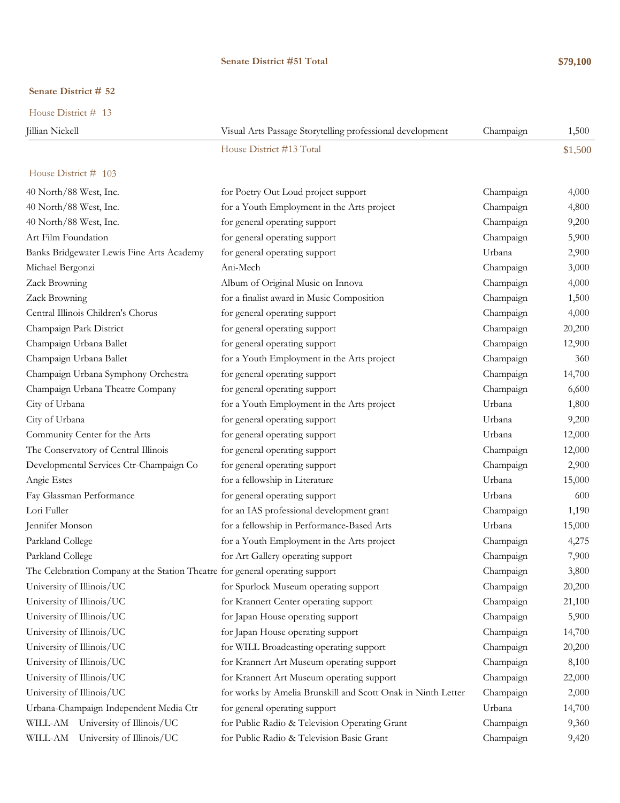#### **Senate District #51 Total \$79,100**

#### **Senate District # 52**

House District # 13

| Iillian Nickell | Visual Arts Passage Storytelling professional development | Champaign | 1,500   |
|-----------------|-----------------------------------------------------------|-----------|---------|
|                 | House District #13 Total                                  |           | \$1,500 |

| 40 North/88 West, Inc.                                                       | for Poetry Out Loud project support                          | Champaign | 4,000  |
|------------------------------------------------------------------------------|--------------------------------------------------------------|-----------|--------|
| 40 North/88 West, Inc.                                                       | for a Youth Employment in the Arts project                   | Champaign | 4,800  |
| 40 North/88 West, Inc.                                                       | for general operating support                                | Champaign | 9,200  |
| Art Film Foundation                                                          | for general operating support                                | Champaign | 5,900  |
| Banks Bridgewater Lewis Fine Arts Academy                                    | for general operating support                                | Urbana    | 2,900  |
| Michael Bergonzi                                                             | Ani-Mech                                                     | Champaign | 3,000  |
| Zack Browning                                                                | Album of Original Music on Innova                            | Champaign | 4,000  |
| Zack Browning                                                                | for a finalist award in Music Composition                    | Champaign | 1,500  |
| Central Illinois Children's Chorus                                           | for general operating support                                | Champaign | 4,000  |
| Champaign Park District                                                      | for general operating support                                | Champaign | 20,200 |
| Champaign Urbana Ballet                                                      | for general operating support                                | Champaign | 12,900 |
| Champaign Urbana Ballet                                                      | for a Youth Employment in the Arts project                   | Champaign | 360    |
| Champaign Urbana Symphony Orchestra                                          | for general operating support                                | Champaign | 14,700 |
| Champaign Urbana Theatre Company                                             | for general operating support                                | Champaign | 6,600  |
| City of Urbana                                                               | for a Youth Employment in the Arts project                   | Urbana    | 1,800  |
| City of Urbana                                                               | for general operating support                                | Urbana    | 9,200  |
| Community Center for the Arts                                                | for general operating support                                | Urbana    | 12,000 |
| The Conservatory of Central Illinois                                         | for general operating support                                | Champaign | 12,000 |
| Developmental Services Ctr-Champaign Co                                      | for general operating support                                | Champaign | 2,900  |
| Angie Estes                                                                  | for a fellowship in Literature                               | Urbana    | 15,000 |
| Fay Glassman Performance                                                     | for general operating support                                | Urbana    | 600    |
| Lori Fuller                                                                  | for an IAS professional development grant                    | Champaign | 1,190  |
| Jennifer Monson                                                              | for a fellowship in Performance-Based Arts                   | Urbana    | 15,000 |
| Parkland College                                                             | for a Youth Employment in the Arts project                   | Champaign | 4,275  |
| Parkland College                                                             | for Art Gallery operating support                            | Champaign | 7,900  |
| The Celebration Company at the Station Theatre for general operating support |                                                              | Champaign | 3,800  |
| University of Illinois/UC                                                    | for Spurlock Museum operating support                        | Champaign | 20,200 |
| University of Illinois/UC                                                    | for Krannert Center operating support                        | Champaign | 21,100 |
| University of Illinois/UC                                                    | for Japan House operating support                            | Champaign | 5,900  |
| University of Illinois/UC                                                    | for Japan House operating support                            | Champaign | 14,700 |
| University of Illinois/UC                                                    | for WILL Broadcasting operating support                      | Champaign | 20,200 |
| University of Illinois/UC                                                    | for Krannert Art Museum operating support                    | Champaign | 8,100  |
| University of Illinois/UC                                                    | for Krannert Art Museum operating support                    | Champaign | 22,000 |
| University of Illinois/UC                                                    | for works by Amelia Brunskill and Scott Onak in Ninth Letter | Champaign | 2,000  |
| Urbana-Champaign Independent Media Ctr                                       | for general operating support                                | Urbana    | 14,700 |
| WILL-AM University of Illinois/UC                                            | for Public Radio & Television Operating Grant                | Champaign | 9,360  |
| WILL-AM University of Illinois/UC                                            | for Public Radio & Television Basic Grant                    | Champaign | 9,420  |
|                                                                              |                                                              |           |        |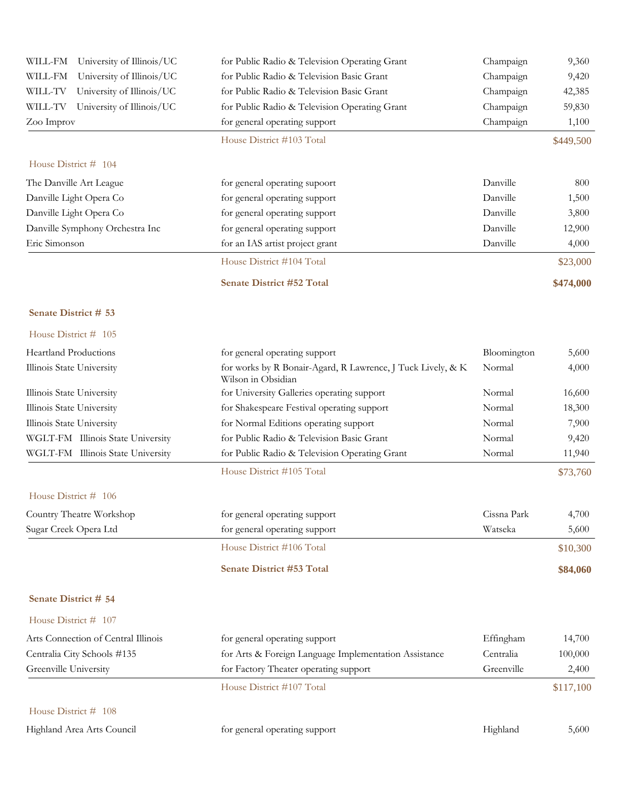| WILL-FM<br>University of Illinois/UC | for Public Radio & Television Operating Grant                                     | Champaign   | 9,360     |
|--------------------------------------|-----------------------------------------------------------------------------------|-------------|-----------|
| University of Illinois/UC<br>WILL-FM | for Public Radio & Television Basic Grant                                         | Champaign   | 9,420     |
| University of Illinois/UC<br>WILL-TV | for Public Radio & Television Basic Grant                                         | Champaign   | 42,385    |
| University of Illinois/UC<br>WILL-TV | for Public Radio & Television Operating Grant                                     | Champaign   | 59,830    |
| Zoo Improv                           | for general operating support                                                     | Champaign   | 1,100     |
|                                      | House District #103 Total                                                         |             | \$449,500 |
| House District # 104                 |                                                                                   |             |           |
| The Danville Art League              | for general operating supoort                                                     | Danville    | 800       |
| Danville Light Opera Co              | for general operating support                                                     | Danville    | 1,500     |
| Danville Light Opera Co              | for general operating support                                                     | Danville    | 3,800     |
| Danville Symphony Orchestra Inc      | for general operating support                                                     | Danville    | 12,900    |
| Eric Simonson                        | for an IAS artist project grant                                                   | Danville    | 4,000     |
|                                      | House District #104 Total                                                         |             | \$23,000  |
|                                      | Senate District #52 Total                                                         |             | \$474,000 |
| Senate District # 53                 |                                                                                   |             |           |
| House District # 105                 |                                                                                   |             |           |
| <b>Heartland Productions</b>         | for general operating support                                                     | Bloomington | 5,600     |
| Illinois State University            | for works by R Bonair-Agard, R Lawrence, J Tuck Lively, & K<br>Wilson in Obsidian | Normal      | 4,000     |
| Illinois State University            | for University Galleries operating support                                        | Normal      | 16,600    |
| Illinois State University            | for Shakespeare Festival operating support                                        | Normal      | 18,300    |
| Illinois State University            | for Normal Editions operating support                                             | Normal      | 7,900     |
| WGLT-FM Illinois State University    | for Public Radio & Television Basic Grant                                         | Normal      | 9,420     |
| WGLT-FM Illinois State University    | for Public Radio & Television Operating Grant                                     | Normal      | 11,940    |
|                                      | House District #105 Total                                                         |             | \$73,760  |
| House District # 106                 |                                                                                   |             |           |
| Country Theatre Workshop             | for general operating support                                                     | Cissna Park | 4,700     |
| Sugar Creek Opera Ltd                | for general operating support                                                     | Watseka     | 5,600     |
|                                      | House District #106 Total                                                         |             | \$10,300  |
|                                      | Senate District #53 Total                                                         |             | \$84,060  |
| Senate District # 54                 |                                                                                   |             |           |
| House District # 107                 |                                                                                   |             |           |
| Arts Connection of Central Illinois  | for general operating support                                                     | Effingham   | 14,700    |
| Centralia City Schools #135          | for Arts & Foreign Language Implementation Assistance                             | Centralia   | 100,000   |
| Greenville University                | for Factory Theater operating support                                             | Greenville  | 2,400     |
|                                      | House District #107 Total                                                         |             | \$117,100 |
| House District # 108                 |                                                                                   |             |           |
| Highland Area Arts Council           | for general operating support                                                     | Highland    | 5,600     |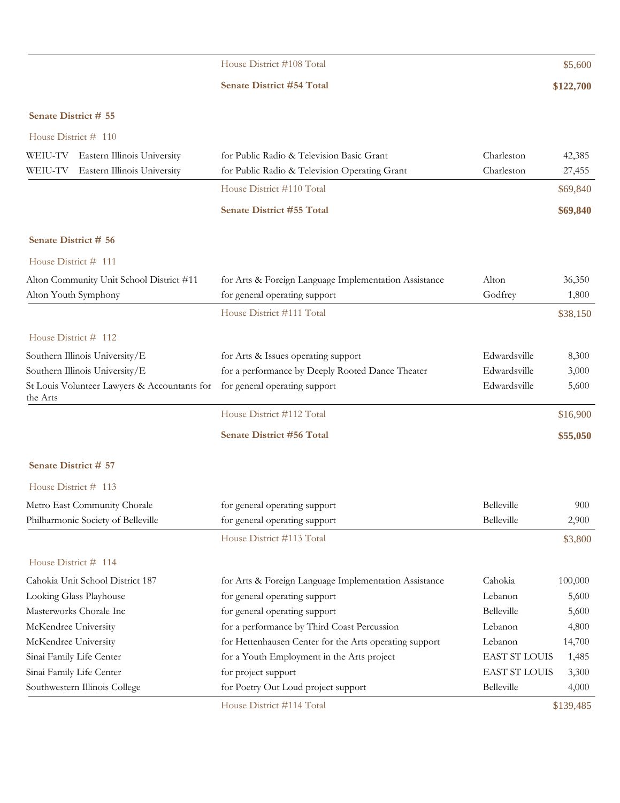|                                                          | House District #108 Total                              |                      | \$5,600   |
|----------------------------------------------------------|--------------------------------------------------------|----------------------|-----------|
|                                                          | <b>Senate District #54 Total</b>                       |                      | \$122,700 |
| Senate District # 55                                     |                                                        |                      |           |
|                                                          |                                                        |                      |           |
| House District # 110                                     |                                                        |                      |           |
| WEIU-TV<br>Eastern Illinois University                   | for Public Radio & Television Basic Grant              | Charleston           | 42,385    |
| Eastern Illinois University<br>WEIU-TV                   | for Public Radio & Television Operating Grant          | Charleston           | 27,455    |
|                                                          | House District #110 Total                              |                      | \$69,840  |
|                                                          | <b>Senate District #55 Total</b>                       |                      | \$69,840  |
| Senate District # 56                                     |                                                        |                      |           |
| House District # 111                                     |                                                        |                      |           |
| Alton Community Unit School District #11                 | for Arts & Foreign Language Implementation Assistance  | Alton                | 36,350    |
| Alton Youth Symphony                                     | for general operating support                          | Godfrey              | 1,800     |
|                                                          | House District #111 Total                              |                      | \$38,150  |
| House District # 112                                     |                                                        |                      |           |
| Southern Illinois University/E                           | for Arts & Issues operating support                    | Edwardsville         | 8,300     |
| Southern Illinois University/E                           | for a performance by Deeply Rooted Dance Theater       | Edwardsville         | 3,000     |
| St Louis Volunteer Lawyers & Accountants for<br>the Arts | for general operating support                          | Edwardsville         | 5,600     |
|                                                          | House District #112 Total                              |                      | \$16,900  |
|                                                          | <b>Senate District #56 Total</b>                       |                      | \$55,050  |
| Senate District # 57                                     |                                                        |                      |           |
| House District # 113                                     |                                                        |                      |           |
| Metro East Community Chorale                             | for general operating support                          | Belleville           | 900       |
| Philharmonic Society of Belleville                       | for general operating support                          | Belleville           | 2,900     |
|                                                          | House District #113 Total                              |                      | \$3,800   |
| House District # 114                                     |                                                        |                      |           |
| Cahokia Unit School District 187                         | for Arts & Foreign Language Implementation Assistance  | Cahokia              | 100,000   |
| Looking Glass Playhouse                                  | for general operating support                          | Lebanon              | 5,600     |
| Masterworks Chorale Inc                                  | for general operating support                          | Belleville           | 5,600     |
| McKendree University                                     | for a performance by Third Coast Percussion            | Lebanon              | 4,800     |
| McKendree University                                     | for Hettenhausen Center for the Arts operating support | Lebanon              | 14,700    |
| Sinai Family Life Center                                 | for a Youth Employment in the Arts project             | <b>EAST ST LOUIS</b> | 1,485     |
| Sinai Family Life Center                                 | for project support                                    | <b>EAST ST LOUIS</b> | 3,300     |
| Southwestern Illinois College                            | for Poetry Out Loud project support                    | Belleville           | 4,000     |
|                                                          | House District #114 Total                              |                      | \$139,485 |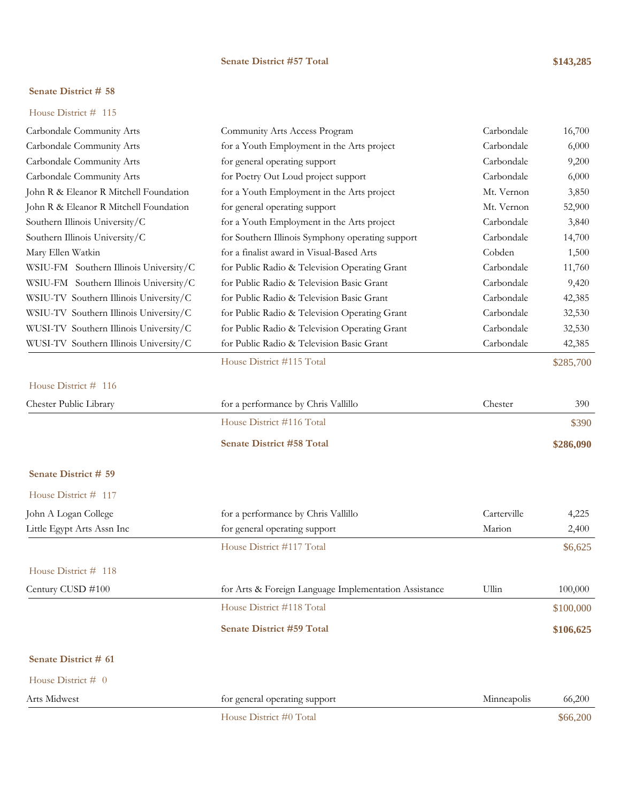#### **Senate District #57 Total \$143,285**

### **Senate District # 58**

|  | House District $#$ 115 |  |  |
|--|------------------------|--|--|
|--|------------------------|--|--|

| Carbondale Community Arts              | Community Arts Access Program                         | Carbondale  | 16,700    |
|----------------------------------------|-------------------------------------------------------|-------------|-----------|
| Carbondale Community Arts              | for a Youth Employment in the Arts project            | Carbondale  | 6,000     |
| Carbondale Community Arts              | for general operating support                         | Carbondale  | 9,200     |
| Carbondale Community Arts              | for Poetry Out Loud project support                   | Carbondale  | 6,000     |
| John R & Eleanor R Mitchell Foundation | for a Youth Employment in the Arts project            | Mt. Vernon  | 3,850     |
| John R & Eleanor R Mitchell Foundation | for general operating support                         | Mt. Vernon  | 52,900    |
| Southern Illinois University/C         | for a Youth Employment in the Arts project            | Carbondale  | 3,840     |
| Southern Illinois University/C         | for Southern Illinois Symphony operating support      | Carbondale  | 14,700    |
| Mary Ellen Watkin                      | for a finalist award in Visual-Based Arts             | Cobden      | 1,500     |
| WSIU-FM Southern Illinois University/C | for Public Radio & Television Operating Grant         | Carbondale  | 11,760    |
| WSIU-FM Southern Illinois University/C | for Public Radio & Television Basic Grant             | Carbondale  | 9,420     |
| WSIU-TV Southern Illinois University/C | for Public Radio & Television Basic Grant             | Carbondale  | 42,385    |
| WSIU-TV Southern Illinois University/C | for Public Radio & Television Operating Grant         | Carbondale  | 32,530    |
| WUSI-TV Southern Illinois University/C | for Public Radio & Television Operating Grant         | Carbondale  | 32,530    |
| WUSI-TV Southern Illinois University/C | for Public Radio & Television Basic Grant             | Carbondale  | 42,385    |
|                                        | House District #115 Total                             |             | \$285,700 |
| House District # 116                   |                                                       |             |           |
| Chester Public Library                 | for a performance by Chris Vallillo                   | Chester     | 390       |
|                                        | House District #116 Total                             |             | \$390     |
|                                        | Senate District #58 Total                             |             | \$286,090 |
| Senate District # 59                   |                                                       |             |           |
| House District # 117                   |                                                       |             |           |
| John A Logan College                   | for a performance by Chris Vallillo                   | Carterville | 4,225     |
| Little Egypt Arts Assn Inc             | for general operating support                         | Marion      | 2,400     |
|                                        | House District #117 Total                             |             | \$6,625   |
| House District # 118                   |                                                       |             |           |
| Century CUSD #100                      | for Arts & Foreign Language Implementation Assistance | Ullin       | 100,000   |
|                                        | House District #118 Total                             |             | \$100,000 |
|                                        | <b>Senate District #59 Total</b>                      |             | \$106,625 |
| Senate District # 61                   |                                                       |             |           |
| House District # 0                     |                                                       |             |           |
| Arts Midwest                           | for general operating support                         | Minneapolis | 66,200    |
|                                        | House District #0 Total                               |             | \$66,200  |